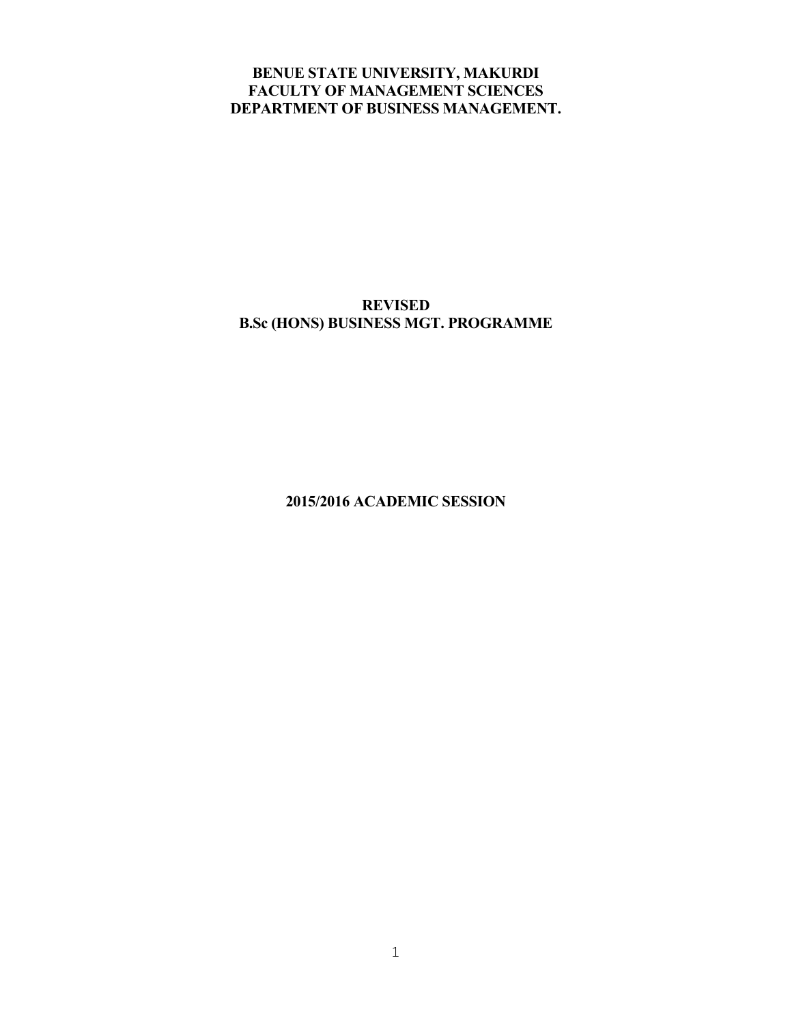# **BENUE STATE UNIVERSITY, MAKURDI FACULTY OF MANAGEMENT SCIENCES DEPARTMENT OF BUSINESS MANAGEMENT.**

# **REVISED B.Sc (HONS) BUSINESS MGT. PROGRAMME**

**2015/2016 ACADEMIC SESSION**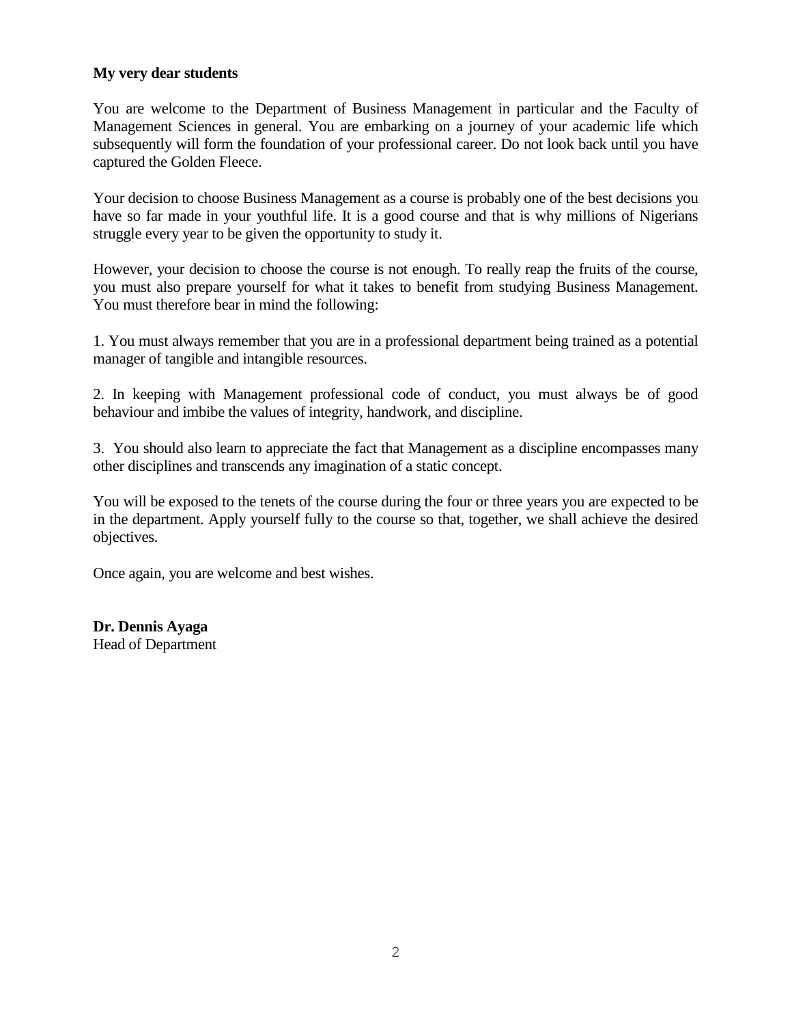# **My very dear students**

You are welcome to the Department of Business Management in particular and the Faculty of Management Sciences in general. You are embarking on a journey of your academic life which subsequently will form the foundation of your professional career. Do not look back until you have captured the Golden Fleece.

Your decision to choose Business Management as a course is probably one of the best decisions you have so far made in your youthful life. It is a good course and that is why millions of Nigerians struggle every year to be given the opportunity to study it.

However, your decision to choose the course is not enough. To really reap the fruits of the course, you must also prepare yourself for what it takes to benefit from studying Business Management. You must therefore bear in mind the following:

1. You must always remember that you are in a professional department being trained as a potential manager of tangible and intangible resources.

2. In keeping with Management professional code of conduct, you must always be of good behaviour and imbibe the values of integrity, handwork, and discipline.

3. You should also learn to appreciate the fact that Management as a discipline encompasses many other disciplines and transcends any imagination of a static concept.

You will be exposed to the tenets of the course during the four or three years you are expected to be in the department. Apply yourself fully to the course so that, together, we shall achieve the desired objectives.

Once again, you are welcome and best wishes.

**Dr. Dennis Ayaga** Head of Department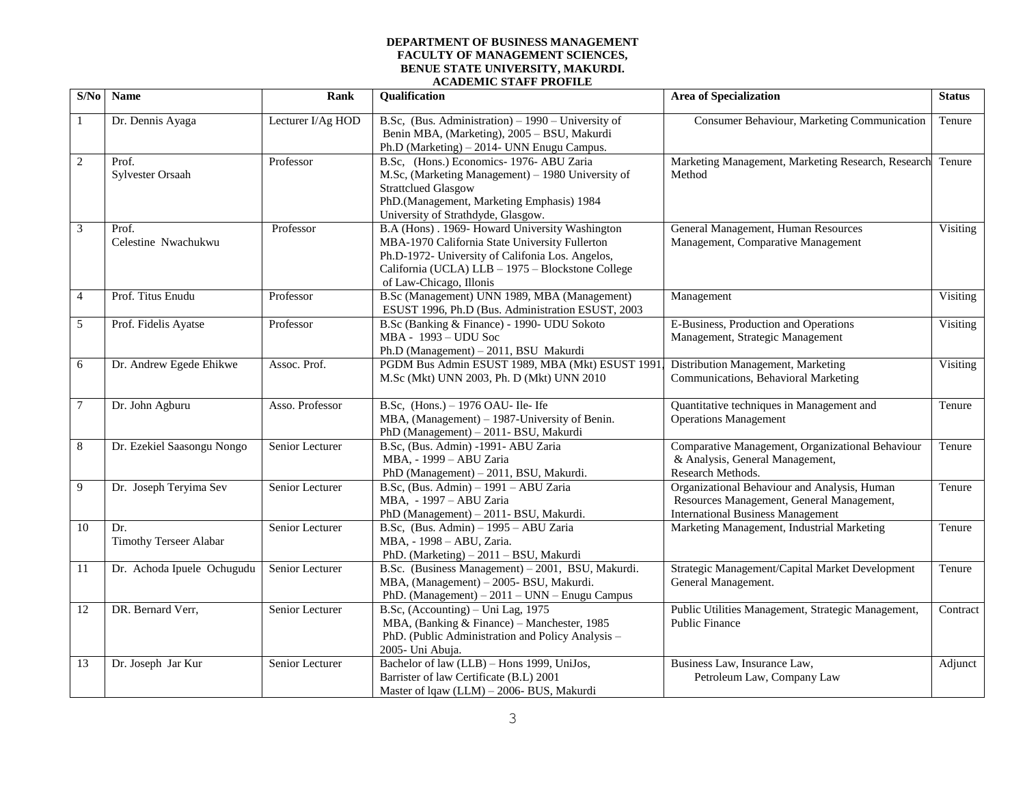#### **DEPARTMENT OF BUSINESS MANAGEMENT FACULTY OF MANAGEMENT SCIENCES, BENUE STATE UNIVERSITY, MAKURDI. ACADEMIC STAFF PROFILE**

| S/No           | Name                                 | <b>Rank</b>       | <b>Qualification</b>                                                                                                                                                                                                                 | <b>Area of Specialization</b>                                                                                                         | <b>Status</b> |
|----------------|--------------------------------------|-------------------|--------------------------------------------------------------------------------------------------------------------------------------------------------------------------------------------------------------------------------------|---------------------------------------------------------------------------------------------------------------------------------------|---------------|
| 1              | Dr. Dennis Ayaga                     | Lecturer I/Ag HOD | B.Sc, (Bus. Administration) – 1990 – University of<br>Benin MBA, (Marketing), 2005 - BSU, Makurdi<br>Ph.D (Marketing) - 2014- UNN Enugu Campus.                                                                                      | Consumer Behaviour, Marketing Communication                                                                                           | Tenure        |
| $\sqrt{2}$     | Prof.<br>Sylvester Orsaah            | Professor         | B.Sc, (Hons.) Economics- 1976- ABU Zaria<br>M.Sc, (Marketing Management) - 1980 University of<br><b>Strattclued Glasgow</b><br>PhD.(Management, Marketing Emphasis) 1984<br>University of Strathdyde, Glasgow.                       | Marketing Management, Marketing Research, Research<br>Method                                                                          | Tenure        |
| 3              | Prof.<br>Celestine Nwachukwu         | Professor         | B.A (Hons). 1969- Howard University Washington<br>MBA-1970 California State University Fullerton<br>Ph.D-1972- University of Califonia Los. Angelos,<br>California (UCLA) LLB - 1975 - Blockstone College<br>of Law-Chicago, Illonis | General Management, Human Resources<br>Management, Comparative Management                                                             | Visiting      |
| $\overline{4}$ | Prof. Titus Enudu                    | Professor         | B.Sc (Management) UNN 1989, MBA (Management)<br>ESUST 1996, Ph.D (Bus. Administration ESUST, 2003                                                                                                                                    | Management                                                                                                                            | Visiting      |
| 5              | Prof. Fidelis Ayatse                 | Professor         | B.Sc (Banking & Finance) - 1990- UDU Sokoto<br>MBA - 1993 - UDU Soc<br>Ph.D (Management) - 2011, BSU Makurdi                                                                                                                         | E-Business, Production and Operations<br>Management, Strategic Management                                                             | Visiting      |
| 6              | Dr. Andrew Egede Ehikwe              | Assoc. Prof.      | PGDM Bus Admin ESUST 1989, MBA (Mkt) ESUST 1991<br>M.Sc (Mkt) UNN 2003, Ph. D (Mkt) UNN 2010                                                                                                                                         | Distribution Management, Marketing<br>Communications, Behavioral Marketing                                                            | Visiting      |
| 7              | Dr. John Agburu                      | Asso. Professor   | B.Sc, $(Hons.) - 1976$ OAU-Ile-Ife<br>MBA, (Management) – 1987-University of Benin.<br>PhD (Management) - 2011- BSU, Makurdi                                                                                                         | Quantitative techniques in Management and<br><b>Operations Management</b>                                                             | Tenure        |
| $\,8\,$        | Dr. Ezekiel Saasongu Nongo           | Senior Lecturer   | B.Sc, (Bus. Admin) -1991- ABU Zaria<br>MBA, - 1999 - ABU Zaria<br>PhD (Management) - 2011, BSU, Makurdi.                                                                                                                             | Comparative Management, Organizational Behaviour<br>& Analysis, General Management,<br>Research Methods.                              | Tenure        |
| 9              | Dr. Joseph Teryima Sev               | Senior Lecturer   | B.Sc, (Bus. Admin) - 1991 - ABU Zaria<br>MBA, - 1997 - ABU Zaria<br>PhD (Management) - 2011- BSU, Makurdi.                                                                                                                           | Organizational Behaviour and Analysis, Human<br>Resources Management, General Management,<br><b>International Business Management</b> | Tenure        |
| 10             | Dr.<br><b>Timothy Terseer Alabar</b> | Senior Lecturer   | B.Sc, (Bus. Admin) - 1995 - ABU Zaria<br>MBA, - 1998 - ABU, Zaria.<br>PhD. (Marketing) - 2011 - BSU, Makurdi                                                                                                                         | Marketing Management, Industrial Marketing                                                                                            | Tenure        |
| 11             | Dr. Achoda Ipuele Ochugudu           | Senior Lecturer   | B.Sc. (Business Management) - 2001, BSU, Makurdi.<br>MBA, (Management) - 2005- BSU, Makurdi.<br>PhD. (Management) - 2011 - UNN - Enugu Campus                                                                                        | Strategic Management/Capital Market Development<br>General Management.                                                                | Tenure        |
| 12             | DR. Bernard Verr,                    | Senior Lecturer   | B.Sc, (Accounting) – Uni Lag, 1975<br>MBA, (Banking & Finance) - Manchester, 1985<br>PhD. (Public Administration and Policy Analysis -<br>2005- Uni Abuja.                                                                           | Public Utilities Management, Strategic Management,<br><b>Public Finance</b>                                                           | Contract      |
| 13             | Dr. Joseph Jar Kur                   | Senior Lecturer   | Bachelor of law (LLB) - Hons 1999, UniJos,<br>Barrister of law Certificate (B.L) 2001<br>Master of lqaw (LLM) - 2006- BUS, Makurdi                                                                                                   | Business Law, Insurance Law,<br>Petroleum Law, Company Law                                                                            | Adjunct       |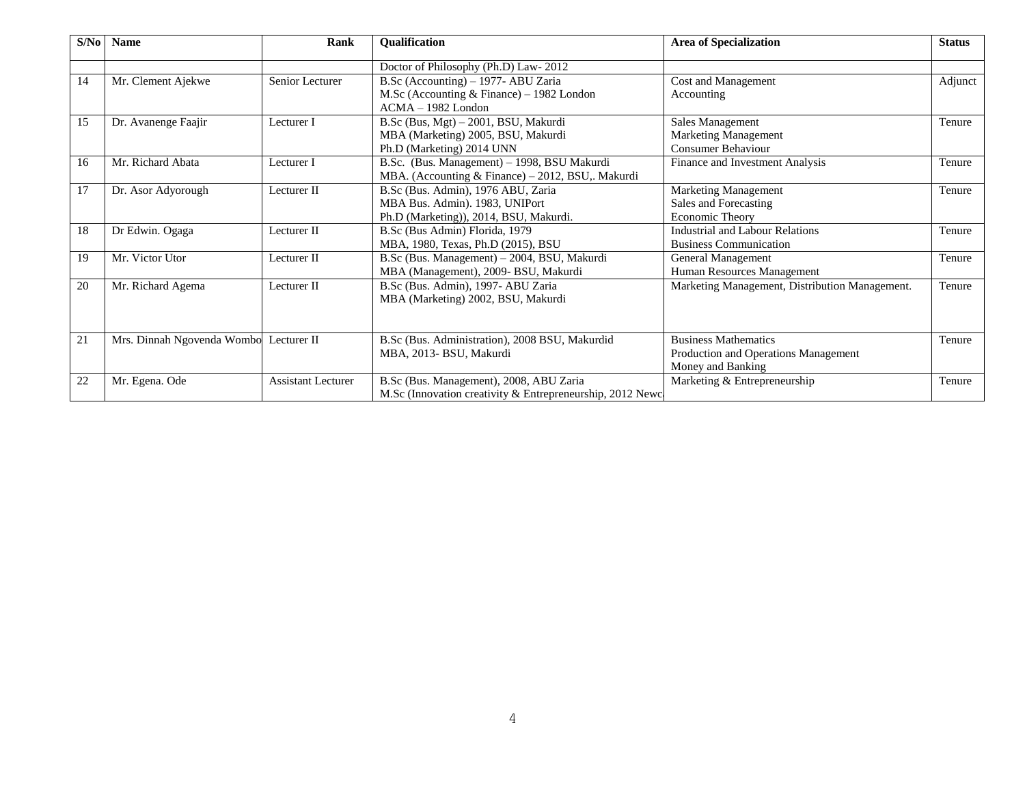| S/No | <b>Name</b>                            | Rank                      | <b>Qualification</b>                                                               | <b>Area of Specialization</b>                  | <b>Status</b> |  |
|------|----------------------------------------|---------------------------|------------------------------------------------------------------------------------|------------------------------------------------|---------------|--|
|      |                                        |                           | Doctor of Philosophy (Ph.D) Law-2012                                               |                                                |               |  |
| 14   | Mr. Clement Ajekwe                     | Senior Lecturer           | B.Sc (Accounting) – 1977- ABU Zaria<br>M.Sc (Accounting $&$ Finance) – 1982 London | Cost and Management<br>Accounting              | Adjunct       |  |
|      |                                        |                           | $ACMA - 1982$ London                                                               |                                                |               |  |
| 15   | Dr. Avanenge Faajir                    | Lecturer I                | B.Sc (Bus, Mgt) - 2001, BSU, Makurdi                                               | Sales Management                               | Tenure        |  |
|      |                                        |                           | MBA (Marketing) 2005, BSU, Makurdi                                                 | <b>Marketing Management</b>                    |               |  |
|      |                                        |                           | Ph.D (Marketing) 2014 UNN                                                          | <b>Consumer Behaviour</b>                      |               |  |
| 16   | Mr. Richard Abata                      | Lecturer I                | B.Sc. (Bus. Management) - 1998, BSU Makurdi                                        | Finance and Investment Analysis                | Tenure        |  |
|      |                                        |                           | MBA. (Accounting & Finance) – 2012, BSU,. Makurdi                                  |                                                |               |  |
| 17   | Dr. Asor Adyorough                     | Lecturer II               | B.Sc (Bus. Admin), 1976 ABU, Zaria                                                 | Marketing Management                           | Tenure        |  |
|      |                                        |                           | MBA Bus. Admin). 1983, UNIPort                                                     | Sales and Forecasting                          |               |  |
|      |                                        |                           | Ph.D (Marketing)), 2014, BSU, Makurdi.                                             | Economic Theory                                |               |  |
| 18   | Dr Edwin. Ogaga                        | Lecturer II               | B.Sc (Bus Admin) Florida, 1979                                                     | Industrial and Labour Relations                | Tenure        |  |
|      |                                        |                           | MBA, 1980, Texas, Ph.D (2015), BSU                                                 | <b>Business Communication</b>                  |               |  |
| 19   | Mr. Victor Utor                        | Lecturer II               | B.Sc (Bus. Management) - 2004, BSU, Makurdi                                        | General Management                             | Tenure        |  |
|      |                                        |                           | MBA (Management), 2009- BSU, Makurdi                                               | Human Resources Management                     |               |  |
| 20   | Mr. Richard Agema                      | Lecturer II               | B.Sc (Bus. Admin), 1997- ABU Zaria                                                 | Marketing Management, Distribution Management. | Tenure        |  |
|      |                                        |                           | MBA (Marketing) 2002, BSU, Makurdi                                                 |                                                |               |  |
|      |                                        |                           |                                                                                    |                                                |               |  |
|      |                                        |                           |                                                                                    |                                                |               |  |
| 21   | Mrs. Dinnah Ngovenda Wombo Lecturer II |                           | B.Sc (Bus. Administration), 2008 BSU, Makurdid                                     | <b>Business Mathematics</b>                    | Tenure        |  |
|      |                                        |                           | MBA, 2013-BSU, Makurdi                                                             | Production and Operations Management           |               |  |
|      |                                        |                           |                                                                                    | Money and Banking                              |               |  |
| 22   | Mr. Egena. Ode                         | <b>Assistant Lecturer</b> | B.Sc (Bus. Management), 2008, ABU Zaria                                            | Marketing & Entrepreneurship                   | Tenure        |  |
|      |                                        |                           | M.Sc (Innovation creativity & Entrepreneurship, 2012 Newc                          |                                                |               |  |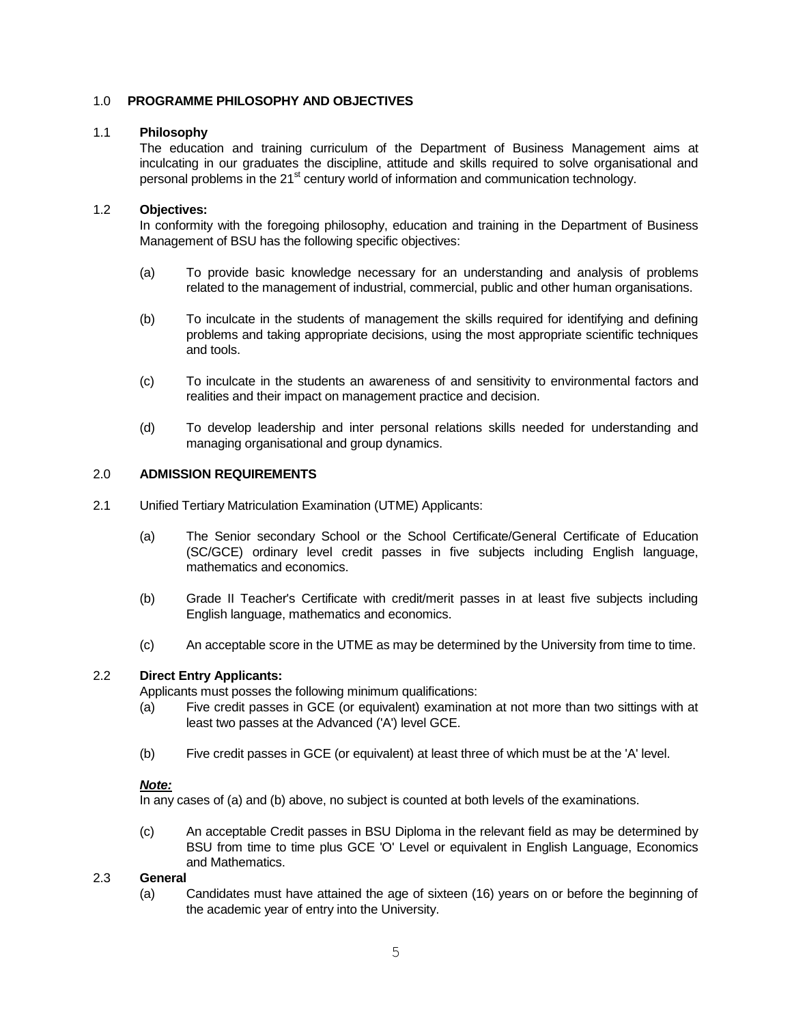# 1.0 **PROGRAMME PHILOSOPHY AND OBJECTIVES**

# 1.1 **Philosophy**

The education and training curriculum of the Department of Business Management aims at inculcating in our graduates the discipline, attitude and skills required to solve organisational and personal problems in the  $21<sup>st</sup>$  century world of information and communication technology.

# 1.2 **Objectives:**

In conformity with the foregoing philosophy, education and training in the Department of Business Management of BSU has the following specific objectives:

- (a) To provide basic knowledge necessary for an understanding and analysis of problems related to the management of industrial, commercial, public and other human organisations.
- (b) To inculcate in the students of management the skills required for identifying and defining problems and taking appropriate decisions, using the most appropriate scientific techniques and tools.
- (c) To inculcate in the students an awareness of and sensitivity to environmental factors and realities and their impact on management practice and decision.
- (d) To develop leadership and inter personal relations skills needed for understanding and managing organisational and group dynamics.

# 2.0 **ADMISSION REQUIREMENTS**

- 2.1 Unified Tertiary Matriculation Examination (UTME) Applicants:
	- (a) The Senior secondary School or the School Certificate/General Certificate of Education (SC/GCE) ordinary level credit passes in five subjects including English language, mathematics and economics.
	- (b) Grade II Teacher's Certificate with credit/merit passes in at least five subjects including English language, mathematics and economics.
	- (c) An acceptable score in the UTME as may be determined by the University from time to time.

# 2.2 **Direct Entry Applicants:**

Applicants must posses the following minimum qualifications:

- (a) Five credit passes in GCE (or equivalent) examination at not more than two sittings with at least two passes at the Advanced ('A') level GCE.
- (b) Five credit passes in GCE (or equivalent) at least three of which must be at the 'A' level.

## *Note:*

In any cases of (a) and (b) above, no subject is counted at both levels of the examinations.

(c) An acceptable Credit passes in BSU Diploma in the relevant field as may be determined by BSU from time to time plus GCE 'O' Level or equivalent in English Language, Economics and Mathematics.

## 2.3 **General**

(a) Candidates must have attained the age of sixteen (16) years on or before the beginning of the academic year of entry into the University.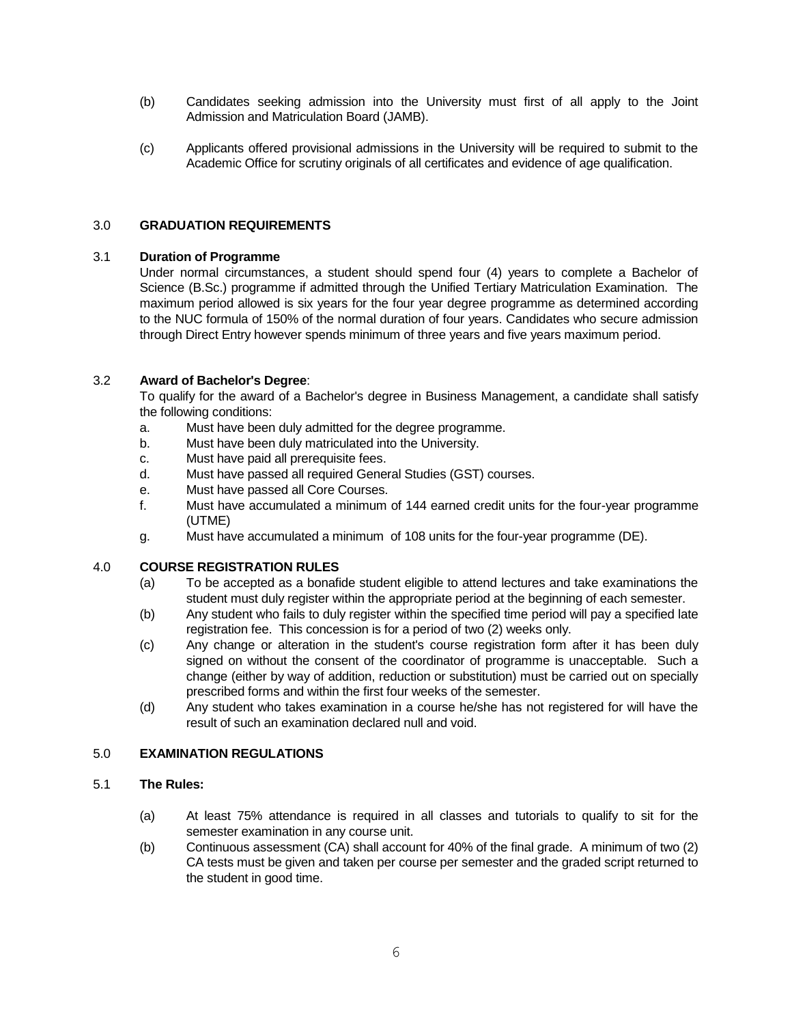- (b) Candidates seeking admission into the University must first of all apply to the Joint Admission and Matriculation Board (JAMB).
- (c) Applicants offered provisional admissions in the University will be required to submit to the Academic Office for scrutiny originals of all certificates and evidence of age qualification.

# 3.0 **GRADUATION REQUIREMENTS**

# 3.1 **Duration of Programme**

Under normal circumstances, a student should spend four (4) years to complete a Bachelor of Science (B.Sc.) programme if admitted through the Unified Tertiary Matriculation Examination. The maximum period allowed is six years for the four year degree programme as determined according to the NUC formula of 150% of the normal duration of four years. Candidates who secure admission through Direct Entry however spends minimum of three years and five years maximum period.

# 3.2 **Award of Bachelor's Degree**:

To qualify for the award of a Bachelor's degree in Business Management, a candidate shall satisfy the following conditions:

- a. Must have been duly admitted for the degree programme.
- b. Must have been duly matriculated into the University.
- c. Must have paid all prerequisite fees.
- d. Must have passed all required General Studies (GST) courses.
- e. Must have passed all Core Courses.
- f. Must have accumulated a minimum of 144 earned credit units for the four-year programme (UTME)
- g. Must have accumulated a minimum of 108 units for the four-year programme (DE).

# 4.0 **COURSE REGISTRATION RULES**

- (a) To be accepted as a bonafide student eligible to attend lectures and take examinations the student must duly register within the appropriate period at the beginning of each semester.
- (b) Any student who fails to duly register within the specified time period will pay a specified late registration fee. This concession is for a period of two (2) weeks only.
- (c) Any change or alteration in the student's course registration form after it has been duly signed on without the consent of the coordinator of programme is unacceptable. Such a change (either by way of addition, reduction or substitution) must be carried out on specially prescribed forms and within the first four weeks of the semester.
- (d) Any student who takes examination in a course he/she has not registered for will have the result of such an examination declared null and void.

## 5.0 **EXAMINATION REGULATIONS**

# 5.1 **The Rules:**

- (a) At least 75% attendance is required in all classes and tutorials to qualify to sit for the semester examination in any course unit.
- (b) Continuous assessment (CA) shall account for 40% of the final grade. A minimum of two (2) CA tests must be given and taken per course per semester and the graded script returned to the student in good time.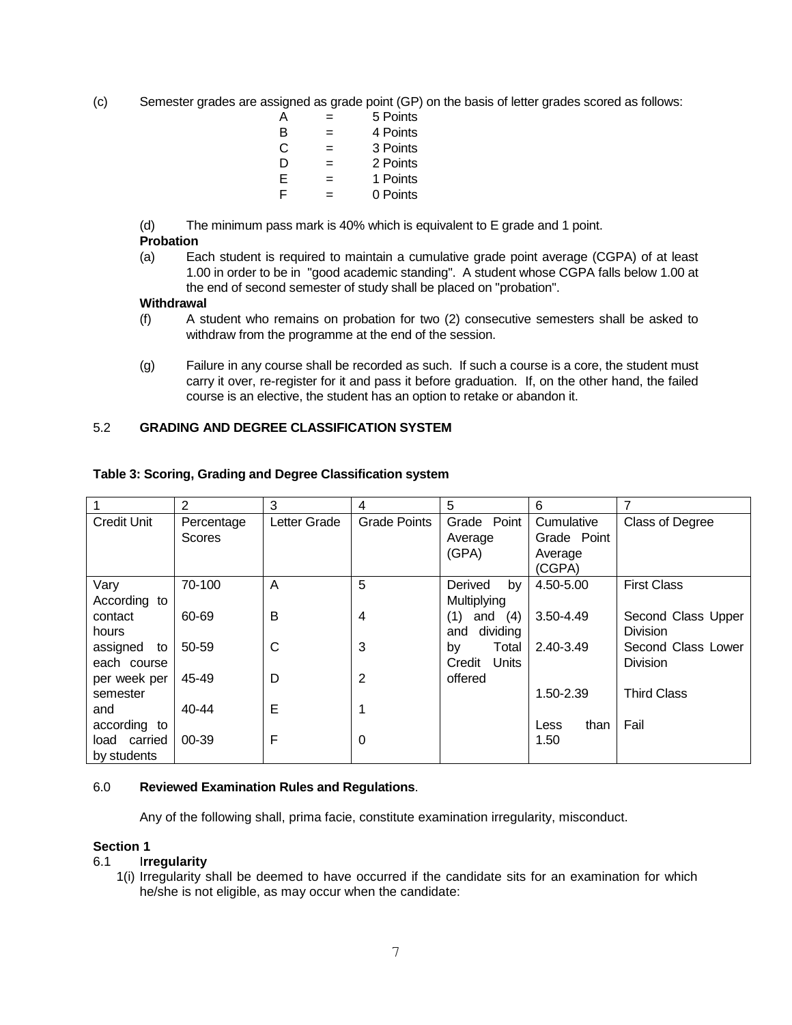(c) Semester grades are assigned as grade point (GP) on the basis of letter grades scored as follows:

| А | -   | 5 Points |
|---|-----|----------|
| B | =   | 4 Points |
| С | =   | 3 Points |
| D | =   | 2 Points |
| E | $=$ | 1 Points |
| F | -   | 0 Points |

(d) The minimum pass mark is 40% which is equivalent to E grade and 1 point.

# **Probation**

(a) Each student is required to maintain a cumulative grade point average (CGPA) of at least 1.00 in order to be in "good academic standing". A student whose CGPA falls below 1.00 at the end of second semester of study shall be placed on "probation".

# **Withdrawal**

- (f) A student who remains on probation for two (2) consecutive semesters shall be asked to withdraw from the programme at the end of the session.
- (g) Failure in any course shall be recorded as such. If such a course is a core, the student must carry it over, re-register for it and pass it before graduation. If, on the other hand, the failed course is an elective, the student has an option to retake or abandon it.

# 5.2 **GRADING AND DEGREE CLASSIFICATION SYSTEM**

|                                             | $\overline{2}$              | 3            | 4                   | 5                                    | 6                                              | 7                                     |
|---------------------------------------------|-----------------------------|--------------|---------------------|--------------------------------------|------------------------------------------------|---------------------------------------|
| <b>Credit Unit</b>                          | Percentage<br><b>Scores</b> | Letter Grade | <b>Grade Points</b> | Grade Point<br>Average<br>(GPA)      | Cumulative<br>Grade Point<br>Average<br>(CGPA) | <b>Class of Degree</b>                |
| Vary<br>According to                        | 70-100                      | A            | 5                   | by<br><b>Derived</b><br>Multiplying  | 4.50-5.00                                      | <b>First Class</b>                    |
| contact<br>hours                            | 60-69                       | B            | 4                   | (4)<br>(1)<br>and<br>dividing<br>and | 3.50-4.49                                      | Second Class Upper<br><b>Division</b> |
| assigned<br>to<br>each course               | 50-59                       | C            | 3                   | Total<br>by<br>Credit<br>Units       | 2.40-3.49                                      | Second Class Lower<br><b>Division</b> |
| per week per                                | 45-49                       | D            | $\overline{2}$      | offered                              |                                                |                                       |
| semester                                    |                             |              |                     |                                      | 1.50-2.39                                      | <b>Third Class</b>                    |
| and                                         | $40 - 44$                   | E            | 1                   |                                      |                                                |                                       |
| according to<br>load carried<br>by students | $00 - 39$                   | F            | 0                   |                                      | than<br>Less<br>1.50                           | Fail                                  |

# **Table 3: Scoring, Grading and Degree Classification system**

## 6.0 **Reviewed Examination Rules and Regulations**.

Any of the following shall, prima facie, constitute examination irregularity, misconduct.

## **Section 1**

# 6.1 I**rregularity**

1(i) Irregularity shall be deemed to have occurred if the candidate sits for an examination for which he/she is not eligible, as may occur when the candidate: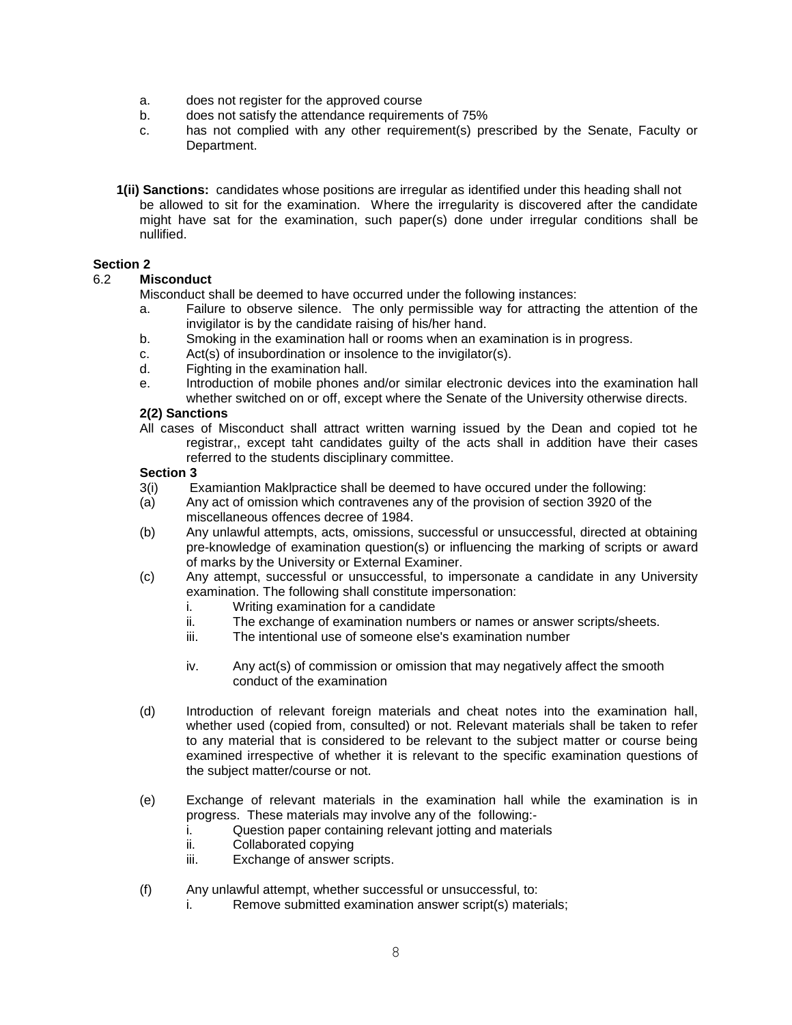- a. does not register for the approved course
- b. does not satisfy the attendance requirements of 75%
- c. has not complied with any other requirement(s) prescribed by the Senate, Faculty or Department.
- **1(ii) Sanctions:** candidates whose positions are irregular as identified under this heading shall not be allowed to sit for the examination. Where the irregularity is discovered after the candidate might have sat for the examination, such paper(s) done under irregular conditions shall be nullified.

# **Section 2**

# 6.2 **Misconduct**

- Misconduct shall be deemed to have occurred under the following instances:
- a. Failure to observe silence. The only permissible way for attracting the attention of the invigilator is by the candidate raising of his/her hand.
- b. Smoking in the examination hall or rooms when an examination is in progress.
- c. Act(s) of insubordination or insolence to the invigilator(s).
- d. Fighting in the examination hall.
- e. Introduction of mobile phones and/or similar electronic devices into the examination hall whether switched on or off, except where the Senate of the University otherwise directs.

## **2(2) Sanctions**

All cases of Misconduct shall attract written warning issued by the Dean and copied tot he registrar,, except taht candidates guilty of the acts shall in addition have their cases referred to the students disciplinary committee.

# **Section 3**

- 3(i) Examiantion Maklpractice shall be deemed to have occured under the following:
- (a) Any act of omission which contravenes any of the provision of section 3920 of the miscellaneous offences decree of 1984.
- (b) Any unlawful attempts, acts, omissions, successful or unsuccessful, directed at obtaining pre-knowledge of examination question(s) or influencing the marking of scripts or award of marks by the University or External Examiner.
- (c) Any attempt, successful or unsuccessful, to impersonate a candidate in any University examination. The following shall constitute impersonation:
	- i. Writing examination for a candidate
	- ii. The exchange of examination numbers or names or answer scripts/sheets.
	- iii. The intentional use of someone else's examination number
	- iv. Any act(s) of commission or omission that may negatively affect the smooth conduct of the examination
- (d) Introduction of relevant foreign materials and cheat notes into the examination hall, whether used (copied from, consulted) or not. Relevant materials shall be taken to refer to any material that is considered to be relevant to the subject matter or course being examined irrespective of whether it is relevant to the specific examination questions of the subject matter/course or not.
- (e) Exchange of relevant materials in the examination hall while the examination is in progress. These materials may involve any of the following:
	- i. Question paper containing relevant jotting and materials
	- ii. Collaborated copying
	- iii. Exchange of answer scripts.
- (f) Any unlawful attempt, whether successful or unsuccessful, to:
	- i. Remove submitted examination answer script(s) materials;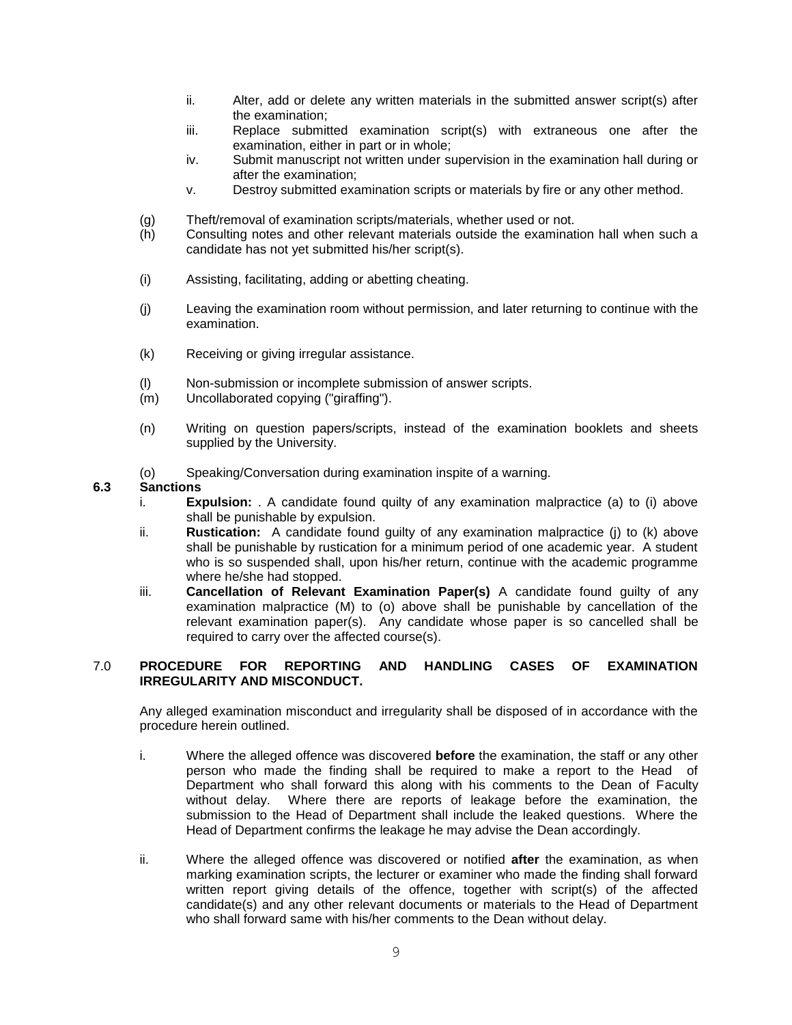- ii. Alter, add or delete any written materials in the submitted answer script(s) after the examination;
- iii. Replace submitted examination script(s) with extraneous one after the examination, either in part or in whole;
- iv. Submit manuscript not written under supervision in the examination hall during or after the examination;
- v. Destroy submitted examination scripts or materials by fire or any other method.
- (g) Theft/removal of examination scripts/materials, whether used or not.
- (h) Consulting notes and other relevant materials outside the examination hall when such a candidate has not yet submitted his/her script(s).
- (i) Assisting, facilitating, adding or abetting cheating.
- (j) Leaving the examination room without permission, and later returning to continue with the examination.
- (k) Receiving or giving irregular assistance.
- (l) Non-submission or incomplete submission of answer scripts.
- (m) Uncollaborated copying ("giraffing").
- (n) Writing on question papers/scripts, instead of the examination booklets and sheets supplied by the University.
- (o) Speaking/Conversation during examination inspite of a warning.

#### **6.3 Sanctions**

- i. **Expulsion:** . A candidate found quilty of any examination malpractice (a) to (i) above shall be punishable by expulsion.
- ii. **Rustication:** A candidate found guilty of any examination malpractice (j) to (k) above shall be punishable by rustication for a minimum period of one academic year. A student who is so suspended shall, upon his/her return, continue with the academic programme where he/she had stopped.
- iii. **Cancellation of Relevant Examination Paper(s)** A candidate found guilty of any examination malpractice (M) to (o) above shall be punishable by cancellation of the relevant examination paper(s). Any candidate whose paper is so cancelled shall be required to carry over the affected course(s).

## 7.0 **PROCEDURE FOR REPORTING AND HANDLING CASES OF EXAMINATION IRREGULARITY AND MISCONDUCT.**

Any alleged examination misconduct and irregularity shall be disposed of in accordance with the procedure herein outlined.

- i. Where the alleged offence was discovered **before** the examination, the staff or any other person who made the finding shall be required to make a report to the Head of Department who shall forward this along with his comments to the Dean of Faculty without delay. Where there are reports of leakage before the examination, the submission to the Head of Department shall include the leaked questions. Where the Head of Department confirms the leakage he may advise the Dean accordingly.
- ii. Where the alleged offence was discovered or notified **after** the examination, as when marking examination scripts, the lecturer or examiner who made the finding shall forward written report giving details of the offence, together with script(s) of the affected candidate(s) and any other relevant documents or materials to the Head of Department who shall forward same with his/her comments to the Dean without delay.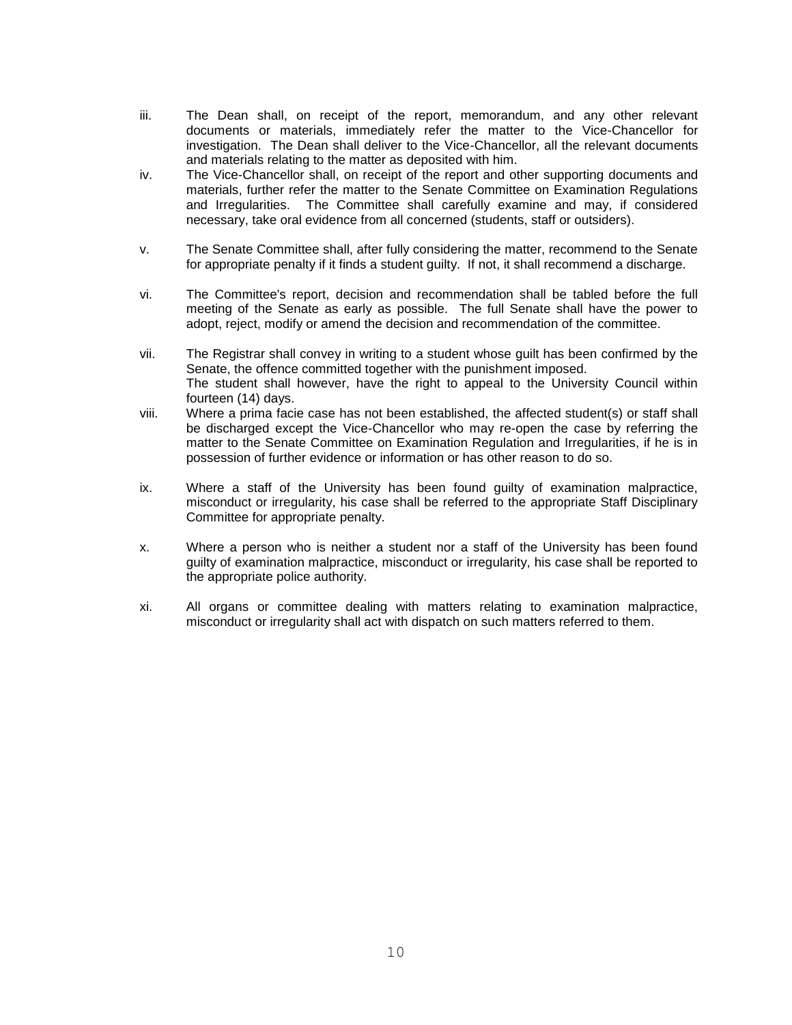- iii. The Dean shall, on receipt of the report, memorandum, and any other relevant documents or materials, immediately refer the matter to the Vice-Chancellor for investigation. The Dean shall deliver to the Vice-Chancellor, all the relevant documents and materials relating to the matter as deposited with him.
- iv. The Vice-Chancellor shall, on receipt of the report and other supporting documents and materials, further refer the matter to the Senate Committee on Examination Regulations and Irregularities. The Committee shall carefully examine and may, if considered necessary, take oral evidence from all concerned (students, staff or outsiders).
- v. The Senate Committee shall, after fully considering the matter, recommend to the Senate for appropriate penalty if it finds a student guilty. If not, it shall recommend a discharge.
- vi. The Committee's report, decision and recommendation shall be tabled before the full meeting of the Senate as early as possible. The full Senate shall have the power to adopt, reject, modify or amend the decision and recommendation of the committee.
- vii. The Registrar shall convey in writing to a student whose guilt has been confirmed by the Senate, the offence committed together with the punishment imposed. The student shall however, have the right to appeal to the University Council within fourteen (14) days.
- viii. Where a prima facie case has not been established, the affected student(s) or staff shall be discharged except the Vice-Chancellor who may re-open the case by referring the matter to the Senate Committee on Examination Regulation and Irregularities, if he is in possession of further evidence or information or has other reason to do so.
- ix. Where a staff of the University has been found guilty of examination malpractice, misconduct or irregularity, his case shall be referred to the appropriate Staff Disciplinary Committee for appropriate penalty.
- x. Where a person who is neither a student nor a staff of the University has been found guilty of examination malpractice, misconduct or irregularity, his case shall be reported to the appropriate police authority.
- xi. All organs or committee dealing with matters relating to examination malpractice, misconduct or irregularity shall act with dispatch on such matters referred to them.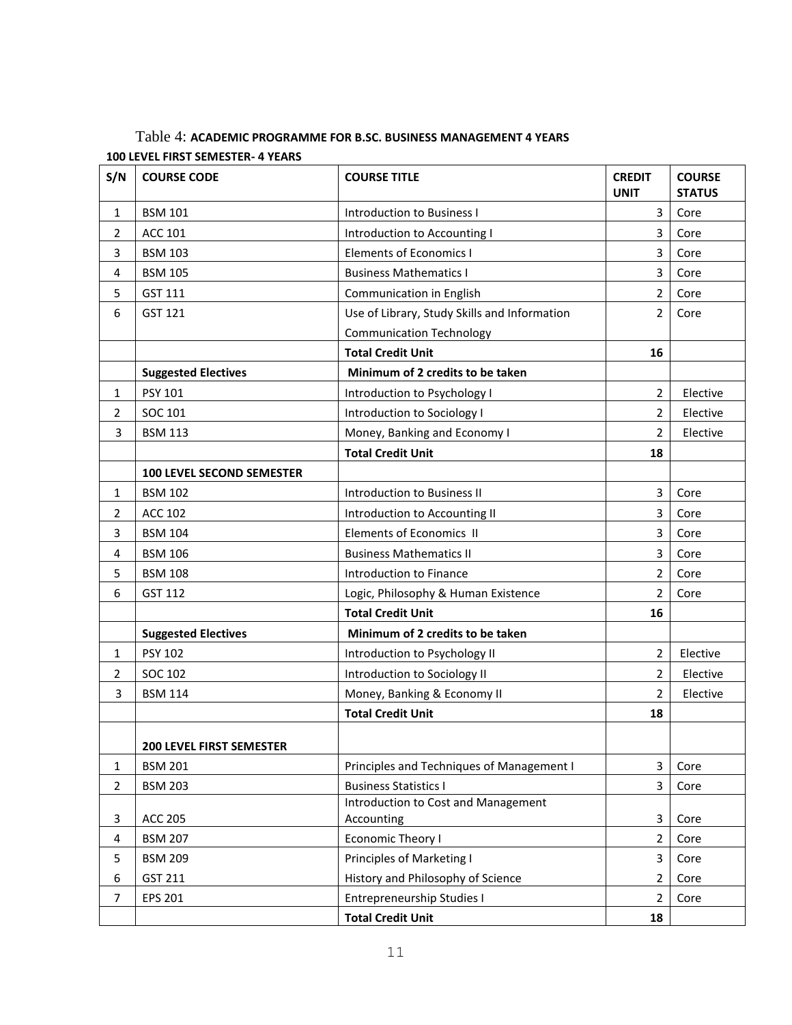| Table 4: ACADEMIC PROGRAMME FOR B.SC. BUSINESS MANAGEMENT 4 YEARS |  |
|-------------------------------------------------------------------|--|
| 100 LEVEL FIRST SEMESTER- 4 YEARS                                 |  |

| S/N                 | <b>COURSE CODE</b>                         | <b>COURSE TITLE</b>                          | <b>CREDIT</b><br><b>UNIT</b> | <b>COURSE</b><br><b>STATUS</b> |
|---------------------|--------------------------------------------|----------------------------------------------|------------------------------|--------------------------------|
| 1                   | <b>BSM 101</b>                             | <b>Introduction to Business I</b>            | 3                            | Core                           |
| $\overline{2}$      | <b>ACC 101</b>                             | Introduction to Accounting I                 | $\overline{3}$               | Core                           |
| 3                   | <b>BSM 103</b>                             | <b>Elements of Economics I</b>               | 3                            | Core                           |
| 4                   | <b>BSM 105</b>                             | <b>Business Mathematics I</b>                | 3                            | Core                           |
| 5                   | GST 111                                    | Communication in English                     | $\overline{2}$               | Core                           |
| 6                   | GST 121                                    | Use of Library, Study Skills and Information | $\overline{2}$               | Core                           |
|                     |                                            | <b>Communication Technology</b>              |                              |                                |
|                     |                                            | <b>Total Credit Unit</b>                     | 16                           |                                |
|                     | <b>Suggested Electives</b>                 | Minimum of 2 credits to be taken             |                              |                                |
| 1                   | PSY 101                                    | Introduction to Psychology I                 | $\overline{2}$               | Elective                       |
| 2                   | SOC 101                                    | Introduction to Sociology I                  | $\overline{2}$               | Elective                       |
| 3                   | <b>BSM 113</b>                             | Money, Banking and Economy I                 | $\overline{2}$               | Elective                       |
|                     |                                            | <b>Total Credit Unit</b>                     | 18                           |                                |
|                     | <b>100 LEVEL SECOND SEMESTER</b>           |                                              |                              |                                |
| 1                   | <b>BSM 102</b>                             | Introduction to Business II                  | 3                            | Core                           |
| $\overline{2}$      | <b>ACC 102</b>                             | Introduction to Accounting II                | 3                            | Core                           |
| 3                   | <b>BSM 104</b>                             | <b>Elements of Economics II</b>              | 3                            | Core                           |
| 4                   | <b>BSM 106</b>                             | <b>Business Mathematics II</b>               | 3                            | Core                           |
| 5                   | <b>BSM 108</b>                             | Introduction to Finance                      | $\overline{2}$               | Core                           |
| 6                   | GST 112                                    | Logic, Philosophy & Human Existence          | $\overline{2}$               | Core                           |
|                     |                                            | <b>Total Credit Unit</b>                     | 16                           |                                |
|                     | <b>Suggested Electives</b>                 | Minimum of 2 credits to be taken             |                              |                                |
| 1                   | <b>PSY 102</b>                             | Introduction to Psychology II                | $\overline{2}$               | Elective                       |
| $\overline{2}$      | SOC 102                                    | Introduction to Sociology II                 | $\overline{2}$               | Elective                       |
| 3                   | <b>BSM 114</b>                             | Money, Banking & Economy II                  | $\overline{2}$               | Elective                       |
|                     |                                            | <b>Total Credit Unit</b>                     | 18                           |                                |
|                     |                                            |                                              |                              |                                |
|                     | 200 LEVEL FIRST SEMESTER<br><b>BSM 201</b> | Principles and Techniques of Management I    | 3                            | Core                           |
| 1<br>$\overline{2}$ |                                            | <b>Business Statistics I</b>                 | 3                            | Core                           |
|                     | <b>BSM 203</b>                             | Introduction to Cost and Management          |                              |                                |
| 3                   | <b>ACC 205</b>                             | Accounting                                   | 3                            | Core                           |
| 4                   | <b>BSM 207</b>                             | <b>Economic Theory I</b>                     | $\overline{2}$               | Core                           |
| 5                   | <b>BSM 209</b>                             | <b>Principles of Marketing I</b>             | $\overline{3}$               | Core                           |
| 6                   | GST 211                                    | History and Philosophy of Science            | $\overline{2}$               | Core                           |
| 7                   | <b>EPS 201</b>                             | Entrepreneurship Studies I                   | 2                            | Core                           |
|                     |                                            | <b>Total Credit Unit</b>                     | 18                           |                                |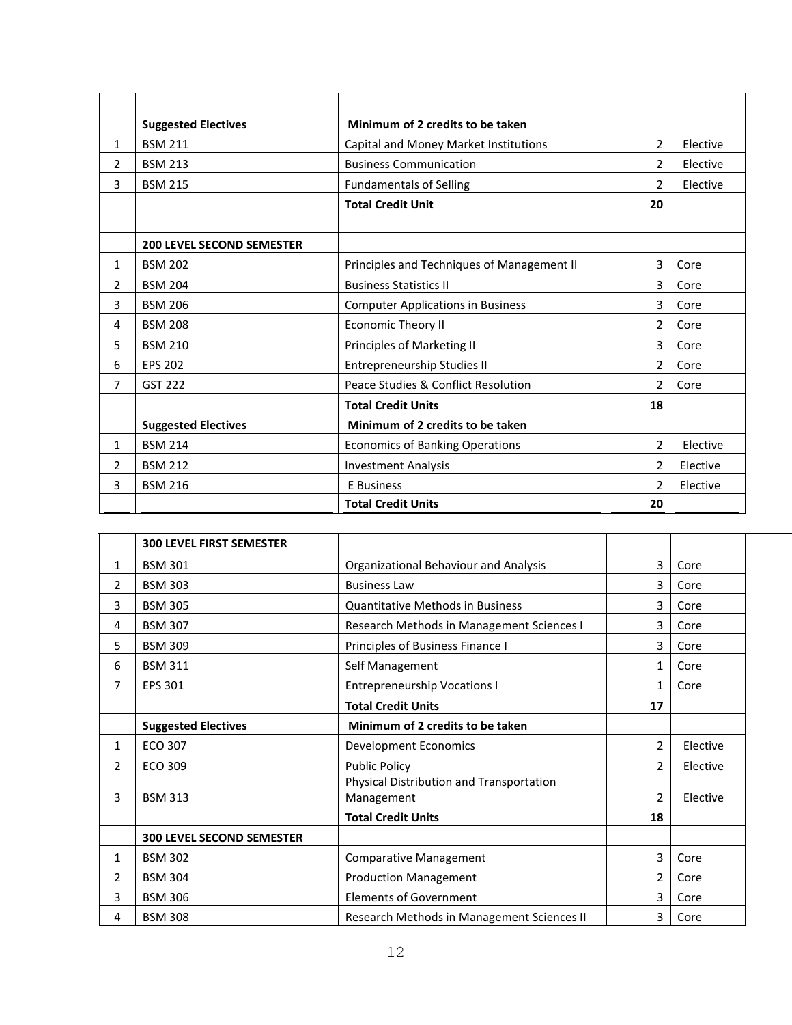|                | <b>Suggested Electives</b>       | Minimum of 2 credits to be taken           |                |          |
|----------------|----------------------------------|--------------------------------------------|----------------|----------|
| 1              | <b>BSM 211</b>                   | Capital and Money Market Institutions      | $\overline{2}$ | Elective |
| $\overline{2}$ | <b>BSM 213</b>                   | <b>Business Communication</b>              | $\overline{2}$ | Elective |
| 3              | <b>BSM 215</b>                   | <b>Fundamentals of Selling</b>             | $\overline{2}$ | Elective |
|                |                                  | <b>Total Credit Unit</b>                   | 20             |          |
|                |                                  |                                            |                |          |
|                | <b>200 LEVEL SECOND SEMESTER</b> |                                            |                |          |
| 1              | <b>BSM 202</b>                   | Principles and Techniques of Management II | 3              | Core     |
| $\overline{2}$ | <b>BSM 204</b>                   | <b>Business Statistics II</b>              | 3              | Core     |
| 3              | <b>BSM 206</b>                   | <b>Computer Applications in Business</b>   | 3              | Core     |
| 4              | <b>BSM 208</b>                   | <b>Economic Theory II</b>                  | $\mathcal{P}$  | Core     |
| 5              | <b>BSM 210</b>                   | Principles of Marketing II                 | 3              | Core     |
| 6              | <b>EPS 202</b>                   | Entrepreneurship Studies II                | $\overline{2}$ | Core     |
| 7              | <b>GST 222</b>                   | Peace Studies & Conflict Resolution        | $\mathfrak{p}$ | Core     |
|                |                                  | <b>Total Credit Units</b>                  | 18             |          |
|                | <b>Suggested Electives</b>       | Minimum of 2 credits to be taken           |                |          |
| 1              | <b>BSM 214</b>                   | <b>Economics of Banking Operations</b>     | $\overline{2}$ | Elective |
| 2              | <b>BSM 212</b>                   | <b>Investment Analysis</b>                 | $\overline{2}$ | Elective |
| 3              | <b>BSM 216</b>                   | E Business                                 | $\overline{2}$ | Elective |
|                |                                  | <b>Total Credit Units</b>                  | 20             |          |

|                | <b>300 LEVEL FIRST SEMESTER</b>  |                                            |                |          |
|----------------|----------------------------------|--------------------------------------------|----------------|----------|
| 1              | <b>BSM 301</b>                   | Organizational Behaviour and Analysis      | 3              | Core     |
| 2              | <b>BSM 303</b>                   | <b>Business Law</b>                        | 3              | Core     |
| 3              | <b>BSM 305</b>                   | <b>Quantitative Methods in Business</b>    | 3              | Core     |
| 4              | <b>BSM 307</b>                   | Research Methods in Management Sciences I  | 3              | Core     |
| 5              | <b>BSM 309</b>                   | Principles of Business Finance I           | 3              | Core     |
| 6              | <b>BSM 311</b>                   | Self Management                            | 1              | Core     |
| 7              | EPS 301                          | <b>Entrepreneurship Vocations I</b>        | 1              | Core     |
|                |                                  | <b>Total Credit Units</b>                  | 17             |          |
|                | <b>Suggested Electives</b>       | Minimum of 2 credits to be taken           |                |          |
| $\mathbf{1}$   | ECO 307                          | Development Economics                      | $\overline{2}$ | Elective |
| $\overline{2}$ | ECO 309                          | <b>Public Policy</b>                       | $\mathcal{P}$  | Elective |
|                |                                  | Physical Distribution and Transportation   |                |          |
| 3              | <b>BSM 313</b>                   | Management                                 | 2              | Elective |
|                |                                  | <b>Total Credit Units</b>                  | 18             |          |
|                | <b>300 LEVEL SECOND SEMESTER</b> |                                            |                |          |
| 1              | <b>BSM 302</b>                   | <b>Comparative Management</b>              | $\overline{3}$ | Core     |
| 2              | <b>BSM 304</b>                   | <b>Production Management</b>               | $\overline{2}$ | Core     |
| 3              | <b>BSM 306</b>                   | Elements of Government                     | 3              | Core     |
| 4              | <b>BSM 308</b>                   | Research Methods in Management Sciences II | 3              | Core     |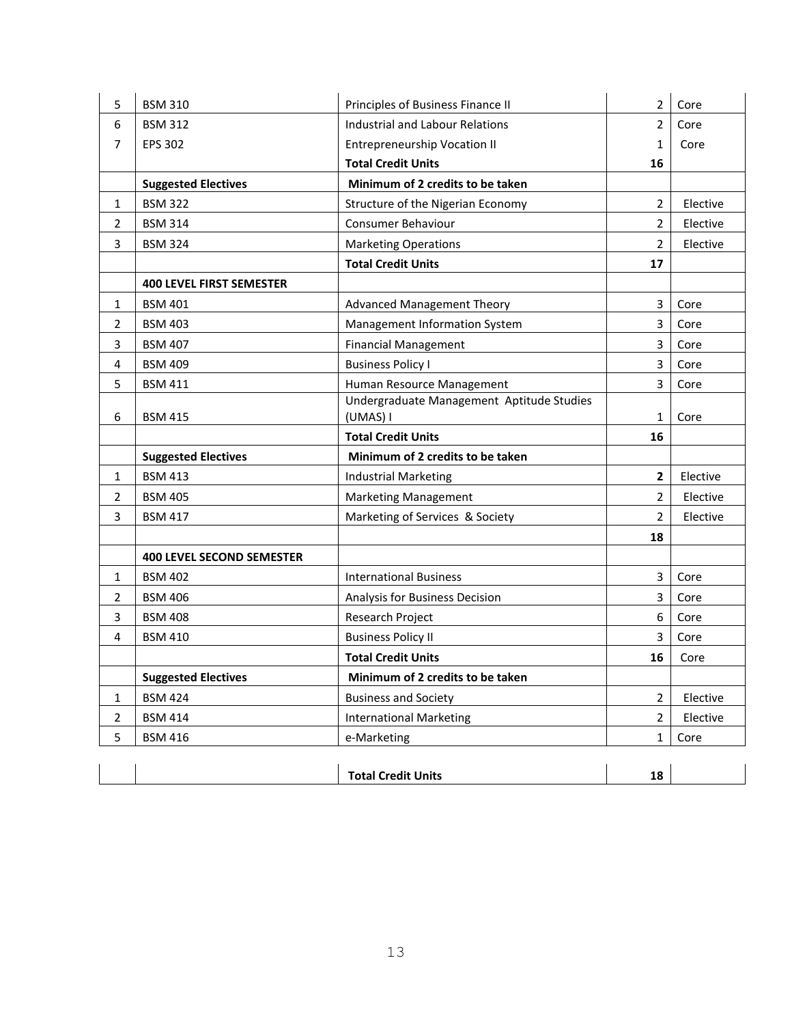| 5              | <b>BSM 310</b>                   | Principles of Business Finance II         | 2              | Core     |
|----------------|----------------------------------|-------------------------------------------|----------------|----------|
| 6              | <b>BSM 312</b>                   | <b>Industrial and Labour Relations</b>    | $\overline{2}$ | Core     |
| 7              | <b>EPS 302</b>                   | <b>Entrepreneurship Vocation II</b>       | 1              | Core     |
|                |                                  | <b>Total Credit Units</b>                 | 16             |          |
|                | <b>Suggested Electives</b>       | Minimum of 2 credits to be taken          |                |          |
| 1              | <b>BSM 322</b>                   | Structure of the Nigerian Economy         | 2              | Elective |
| 2              | <b>BSM 314</b>                   | Consumer Behaviour                        | $\overline{2}$ | Elective |
| 3              | <b>BSM 324</b>                   | <b>Marketing Operations</b>               | $\overline{2}$ | Elective |
|                |                                  | <b>Total Credit Units</b>                 | 17             |          |
|                | <b>400 LEVEL FIRST SEMESTER</b>  |                                           |                |          |
| 1              | <b>BSM 401</b>                   | <b>Advanced Management Theory</b>         | 3              | Core     |
| 2              | <b>BSM 403</b>                   | Management Information System             | $\overline{3}$ | Core     |
| 3              | <b>BSM 407</b>                   | <b>Financial Management</b>               | 3              | Core     |
| 4              | <b>BSM 409</b>                   | <b>Business Policy I</b>                  | 3              | Core     |
| 5              | <b>BSM 411</b>                   | Human Resource Management                 | 3              | Core     |
|                |                                  | Undergraduate Management Aptitude Studies |                |          |
| 6              | <b>BSM 415</b>                   | (UMAS) I                                  | 1              | Core     |
|                |                                  | <b>Total Credit Units</b>                 | 16             |          |
|                | <b>Suggested Electives</b>       | Minimum of 2 credits to be taken          |                |          |
| 1              | <b>BSM 413</b>                   | <b>Industrial Marketing</b>               | $\overline{2}$ | Elective |
| 2              | <b>BSM 405</b>                   | Marketing Management                      | $\overline{2}$ | Elective |
| 3              | <b>BSM 417</b>                   | Marketing of Services & Society           | $\overline{2}$ | Elective |
|                |                                  |                                           | 18             |          |
|                | <b>400 LEVEL SECOND SEMESTER</b> |                                           |                |          |
| 1              | <b>BSM 402</b>                   | <b>International Business</b>             | $\overline{3}$ | Core     |
| 2              | <b>BSM 406</b>                   | Analysis for Business Decision            | 3              | Core     |
| 3              | <b>BSM 408</b>                   | Research Project                          | 6              | Core     |
| 4              | <b>BSM 410</b>                   | <b>Business Policy II</b>                 | 3              | Core     |
|                |                                  | <b>Total Credit Units</b>                 | 16             | Core     |
|                |                                  |                                           |                |          |
|                | <b>Suggested Electives</b>       | Minimum of 2 credits to be taken          |                |          |
| $\mathbf{1}$   | <b>BSM 424</b>                   | <b>Business and Society</b>               | $\overline{2}$ | Elective |
| $\overline{2}$ | <b>BSM 414</b>                   | <b>International Marketing</b>            | $\overline{2}$ | Elective |
| 5              | <b>BSM 416</b>                   | e-Marketing                               | 1              | Core     |
|                |                                  |                                           |                |          |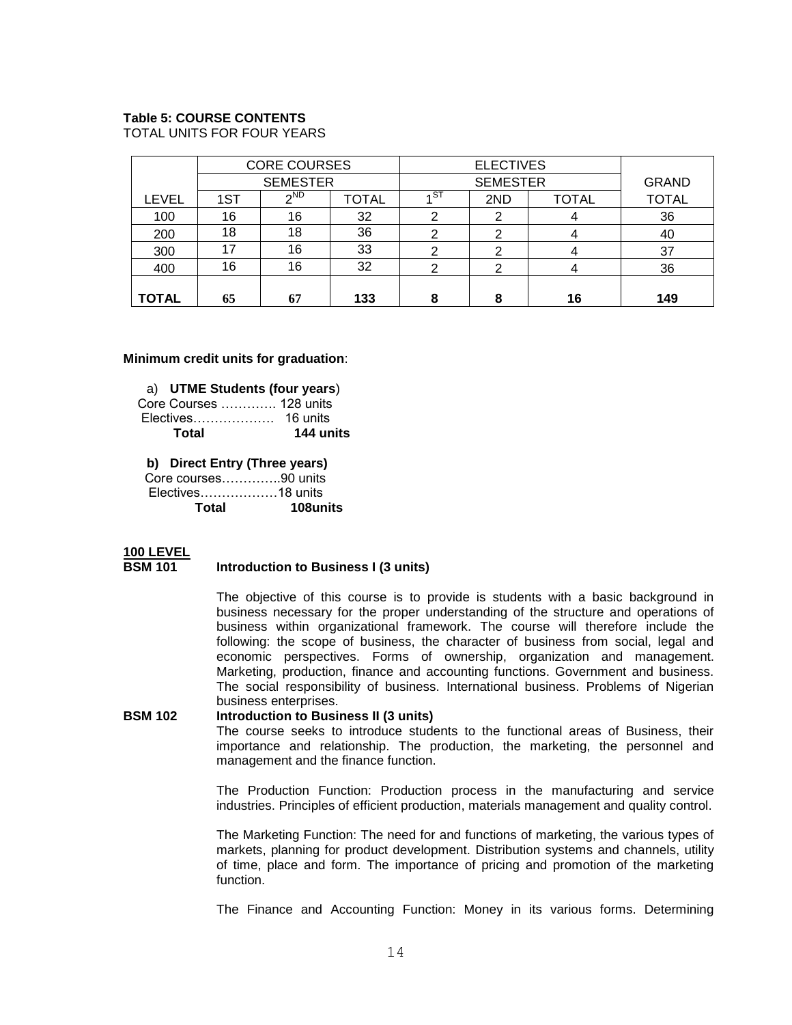#### **Table 5: COURSE CONTENTS**

TOTAL UNITS FOR FOUR YEARS

|              |                 | <b>CORE COURSES</b> |              |      | <b>ELECTIVES</b> |              |              |
|--------------|-----------------|---------------------|--------------|------|------------------|--------------|--------------|
|              | <b>SEMESTER</b> |                     |              |      | <b>SEMESTER</b>  |              | <b>GRAND</b> |
| <b>LEVEL</b> | 1ST             | $\sim$ ND           | <b>TOTAL</b> | ∡ ST | 2ND              | <b>TOTAL</b> | <b>TOTAL</b> |
| 100          | 16              | 16                  | 32           | ◠    |                  |              | 36           |
| 200          | 18              | 18                  | 36           |      |                  |              | 40           |
| 300          |                 | 16                  | 33           | ◠    | ◠                |              | 37           |
| 400          | 16              | 16                  | 32           | ົ    | ົ                |              | 36           |
|              |                 |                     |              |      |                  |              |              |
| <b>TOTAL</b> | 65              | 67                  | 133          | 8    | о                | 16           | 149          |

#### **Minimum credit units for graduation**:

a) **UTME Students (four years**)

 Core Courses …………. 128 units Electives………………. 16 units  **Total 144 units**

**b) Direct Entry (Three years)**

Core courses…………..90 units Electives………………18 units **Total 108units**

# **100 LEVEL**

#### **BSM 101 Introduction to Business I (3 units)**

The objective of this course is to provide is students with a basic background in business necessary for the proper understanding of the structure and operations of business within organizational framework. The course will therefore include the following: the scope of business, the character of business from social, legal and economic perspectives. Forms of ownership, organization and management. Marketing, production, finance and accounting functions. Government and business. The social responsibility of business. International business. Problems of Nigerian business enterprises.

**BSM 102 Introduction to Business II (3 units)** The course seeks to introduce students to the functional areas of Business, their importance and relationship. The production, the marketing, the personnel and management and the finance function.

> The Production Function: Production process in the manufacturing and service industries. Principles of efficient production, materials management and quality control.

> The Marketing Function: The need for and functions of marketing, the various types of markets, planning for product development. Distribution systems and channels, utility of time, place and form. The importance of pricing and promotion of the marketing function.

> The Finance and Accounting Function: Money in its various forms. Determining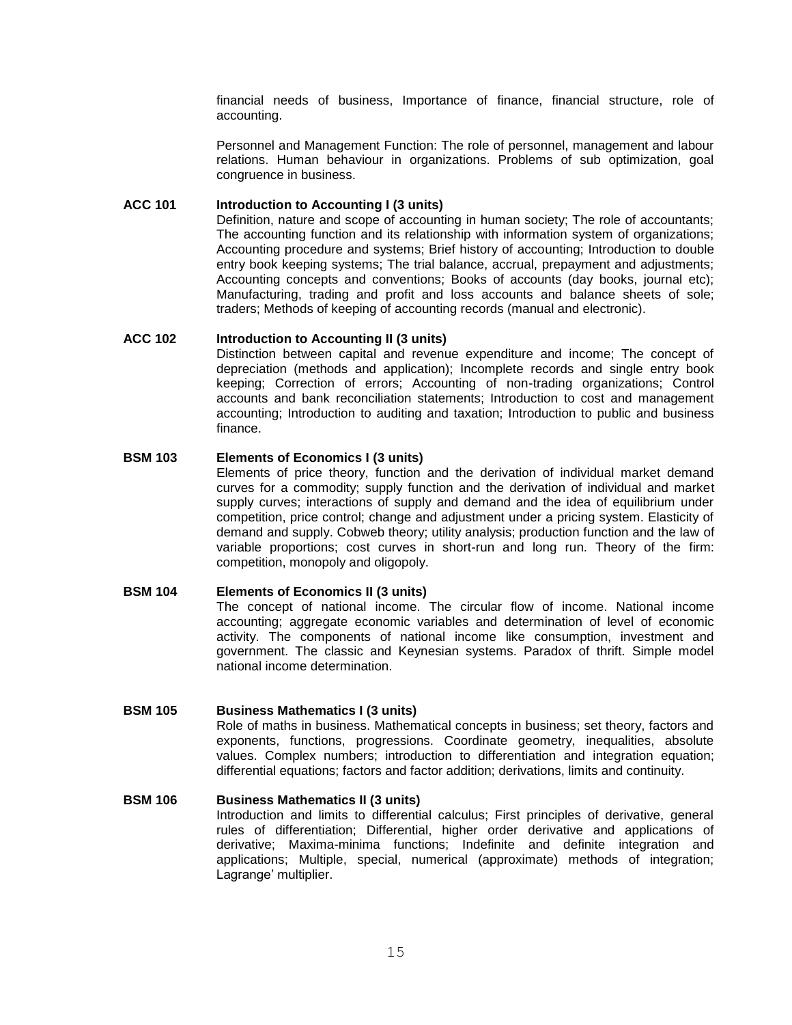financial needs of business, Importance of finance, financial structure, role of accounting.

Personnel and Management Function: The role of personnel, management and labour relations. Human behaviour in organizations. Problems of sub optimization, goal congruence in business.

#### **ACC 101 Introduction to Accounting I (3 units)**

Definition, nature and scope of accounting in human society; The role of accountants; The accounting function and its relationship with information system of organizations; Accounting procedure and systems; Brief history of accounting; Introduction to double entry book keeping systems; The trial balance, accrual, prepayment and adjustments; Accounting concepts and conventions; Books of accounts (day books, journal etc); Manufacturing, trading and profit and loss accounts and balance sheets of sole; traders; Methods of keeping of accounting records (manual and electronic).

## **ACC 102 Introduction to Accounting II (3 units)**

Distinction between capital and revenue expenditure and income; The concept of depreciation (methods and application); Incomplete records and single entry book keeping; Correction of errors; Accounting of non-trading organizations; Control accounts and bank reconciliation statements; Introduction to cost and management accounting; Introduction to auditing and taxation; Introduction to public and business finance.

# **BSM 103 Elements of Economics I (3 units)**

Elements of price theory, function and the derivation of individual market demand curves for a commodity; supply function and the derivation of individual and market supply curves; interactions of supply and demand and the idea of equilibrium under competition, price control; change and adjustment under a pricing system. Elasticity of demand and supply. Cobweb theory; utility analysis; production function and the law of variable proportions; cost curves in short-run and long run. Theory of the firm: competition, monopoly and oligopoly.

## **BSM 104 Elements of Economics II (3 units)**

The concept of national income. The circular flow of income. National income accounting; aggregate economic variables and determination of level of economic activity. The components of national income like consumption, investment and government. The classic and Keynesian systems. Paradox of thrift. Simple model national income determination.

## **BSM 105 Business Mathematics I (3 units)**

Role of maths in business. Mathematical concepts in business; set theory, factors and exponents, functions, progressions. Coordinate geometry, inequalities, absolute values. Complex numbers; introduction to differentiation and integration equation; differential equations; factors and factor addition; derivations, limits and continuity.

# **BSM 106 Business Mathematics II (3 units)**

Introduction and limits to differential calculus; First principles of derivative, general rules of differentiation; Differential, higher order derivative and applications of derivative; Maxima-minima functions; Indefinite and definite integration and applications; Multiple, special, numerical (approximate) methods of integration; Lagrange' multiplier.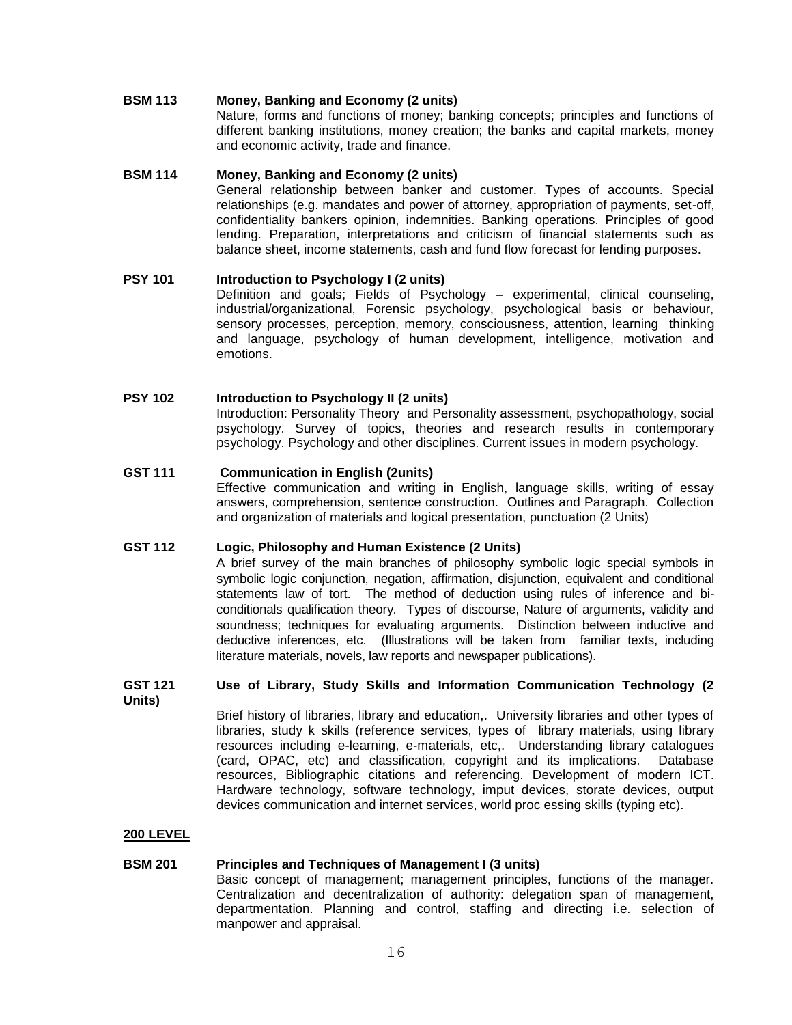#### **BSM 113 Money, Banking and Economy (2 units)**

Nature, forms and functions of money; banking concepts; principles and functions of different banking institutions, money creation; the banks and capital markets, money and economic activity, trade and finance.

#### **BSM 114 Money, Banking and Economy (2 units)**

General relationship between banker and customer. Types of accounts. Special relationships (e.g. mandates and power of attorney, appropriation of payments, set-off, confidentiality bankers opinion, indemnities. Banking operations. Principles of good lending. Preparation, interpretations and criticism of financial statements such as balance sheet, income statements, cash and fund flow forecast for lending purposes.

# **PSY 101 Introduction to Psychology I (2 units)**

Definition and goals; Fields of Psychology – experimental, clinical counseling, industrial/organizational, Forensic psychology, psychological basis or behaviour, sensory processes, perception, memory, consciousness, attention, learning thinking and language, psychology of human development, intelligence, motivation and emotions.

# **PSY 102 Introduction to Psychology II (2 units)**

Introduction: Personality Theory and Personality assessment, psychopathology, social psychology. Survey of topics, theories and research results in contemporary psychology. Psychology and other disciplines. Current issues in modern psychology.

# **GST 111 Communication in English (2units)**

Effective communication and writing in English, language skills, writing of essay answers, comprehension, sentence construction. Outlines and Paragraph. Collection and organization of materials and logical presentation, punctuation (2 Units)

### **GST 112 Logic, Philosophy and Human Existence (2 Units)**

A brief survey of the main branches of philosophy symbolic logic special symbols in symbolic logic conjunction, negation, affirmation, disjunction, equivalent and conditional statements law of tort. The method of deduction using rules of inference and biconditionals qualification theory. Types of discourse, Nature of arguments, validity and soundness; techniques for evaluating arguments. Distinction between inductive and deductive inferences, etc. (Illustrations will be taken from familiar texts, including literature materials, novels, law reports and newspaper publications).

#### **GST 121 Use of Library, Study Skills and Information Communication Technology (2 Units)**

Brief history of libraries, library and education,. University libraries and other types of libraries, study k skills (reference services, types of library materials, using library resources including e-learning, e-materials, etc,. Understanding library catalogues (card, OPAC, etc) and classification, copyright and its implications. Database resources, Bibliographic citations and referencing. Development of modern ICT. Hardware technology, software technology, imput devices, storate devices, output devices communication and internet services, world proc essing skills (typing etc).

#### **200 LEVEL**

## **BSM 201 Principles and Techniques of Management I (3 units)**

Basic concept of management; management principles, functions of the manager. Centralization and decentralization of authority: delegation span of management, departmentation. Planning and control, staffing and directing i.e. selection of manpower and appraisal.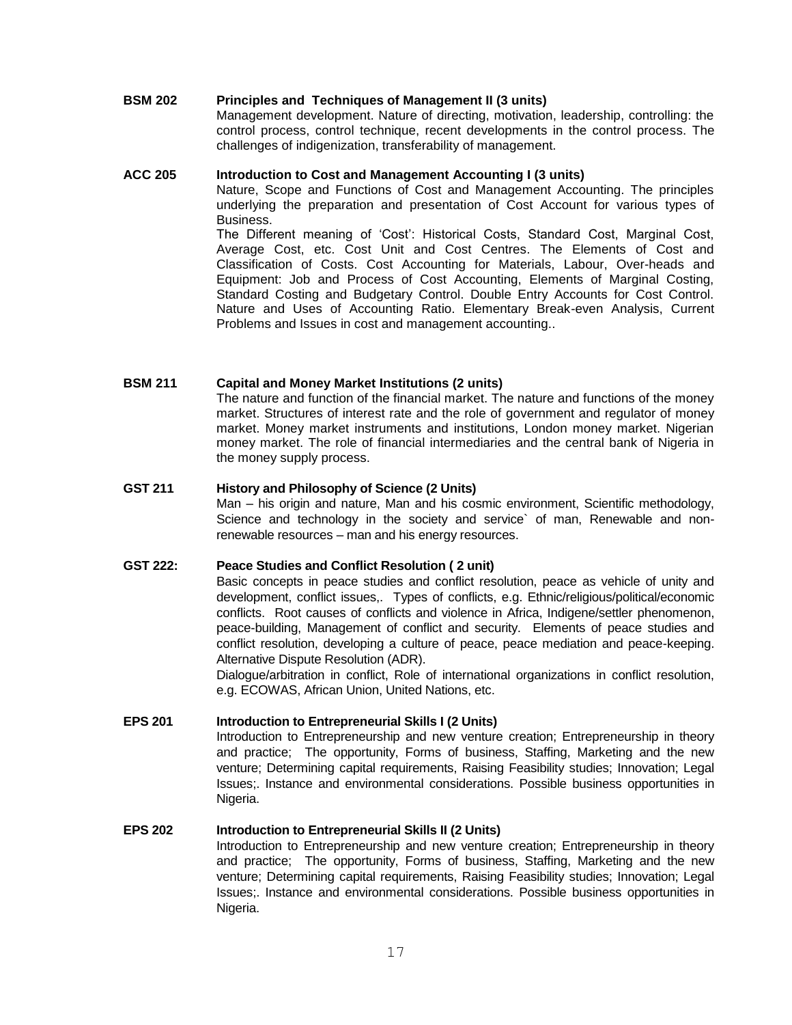# **BSM 202 Principles and Techniques of Management II (3 units)**

Management development. Nature of directing, motivation, leadership, controlling: the control process, control technique, recent developments in the control process. The challenges of indigenization, transferability of management.

## **ACC 205 Introduction to Cost and Management Accounting I (3 units)**

Nature, Scope and Functions of Cost and Management Accounting. The principles underlying the preparation and presentation of Cost Account for various types of Business.

The Different meaning of 'Cost': Historical Costs, Standard Cost, Marginal Cost, Average Cost, etc. Cost Unit and Cost Centres. The Elements of Cost and Classification of Costs. Cost Accounting for Materials, Labour, Over-heads and Equipment: Job and Process of Cost Accounting, Elements of Marginal Costing, Standard Costing and Budgetary Control. Double Entry Accounts for Cost Control. Nature and Uses of Accounting Ratio. Elementary Break-even Analysis, Current Problems and Issues in cost and management accounting..

# **BSM 211 Capital and Money Market Institutions (2 units)**

The nature and function of the financial market. The nature and functions of the money market. Structures of interest rate and the role of government and regulator of money market. Money market instruments and institutions, London money market. Nigerian money market. The role of financial intermediaries and the central bank of Nigeria in the money supply process.

# **GST 211 History and Philosophy of Science (2 Units)**

Man – his origin and nature, Man and his cosmic environment, Scientific methodology, Science and technology in the society and service` of man, Renewable and nonrenewable resources – man and his energy resources.

# **GST 222: Peace Studies and Conflict Resolution ( 2 unit)**

Basic concepts in peace studies and conflict resolution, peace as vehicle of unity and development, conflict issues,. Types of conflicts, e.g. Ethnic/religious/political/economic conflicts. Root causes of conflicts and violence in Africa, Indigene/settler phenomenon, peace-building, Management of conflict and security. Elements of peace studies and conflict resolution, developing a culture of peace, peace mediation and peace-keeping. Alternative Dispute Resolution (ADR).

Dialogue/arbitration in conflict, Role of international organizations in conflict resolution, e.g. ECOWAS, African Union, United Nations, etc.

# **EPS 201 Introduction to Entrepreneurial Skills I (2 Units)**

Introduction to Entrepreneurship and new venture creation; Entrepreneurship in theory and practice; The opportunity, Forms of business, Staffing, Marketing and the new venture; Determining capital requirements, Raising Feasibility studies; Innovation; Legal Issues;. Instance and environmental considerations. Possible business opportunities in Nigeria.

## **EPS 202 Introduction to Entrepreneurial Skills II (2 Units)**

Introduction to Entrepreneurship and new venture creation; Entrepreneurship in theory and practice; The opportunity, Forms of business, Staffing, Marketing and the new venture; Determining capital requirements, Raising Feasibility studies; Innovation; Legal Issues;. Instance and environmental considerations. Possible business opportunities in Nigeria.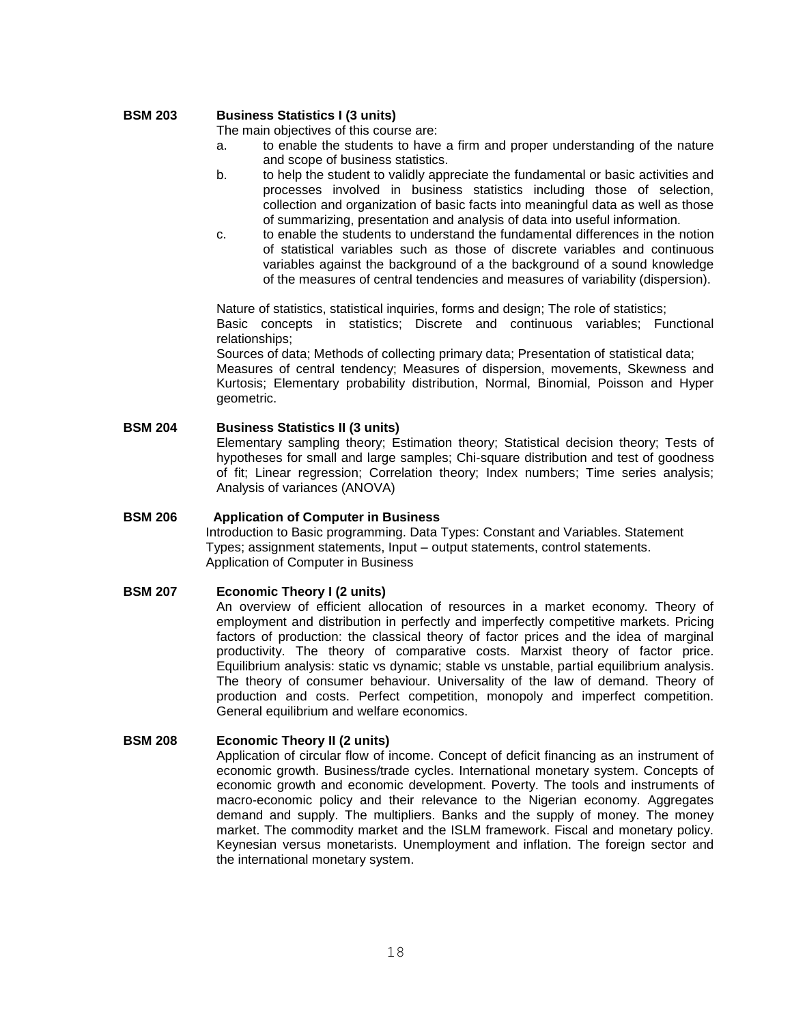# **BSM 203 Business Statistics I (3 units)**

The main objectives of this course are:

- a. to enable the students to have a firm and proper understanding of the nature and scope of business statistics.
- b. to help the student to validly appreciate the fundamental or basic activities and processes involved in business statistics including those of selection, collection and organization of basic facts into meaningful data as well as those of summarizing, presentation and analysis of data into useful information.
- c. to enable the students to understand the fundamental differences in the notion of statistical variables such as those of discrete variables and continuous variables against the background of a the background of a sound knowledge of the measures of central tendencies and measures of variability (dispersion).

Nature of statistics, statistical inquiries, forms and design; The role of statistics; Basic concepts in statistics; Discrete and continuous variables; Functional relationships;

Sources of data; Methods of collecting primary data; Presentation of statistical data; Measures of central tendency; Measures of dispersion, movements, Skewness and Kurtosis; Elementary probability distribution, Normal, Binomial, Poisson and Hyper geometric.

**BSM 204 Business Statistics II (3 units)** Elementary sampling theory; Estimation theory; Statistical decision theory; Tests of hypotheses for small and large samples; Chi-square distribution and test of goodness of fit; Linear regression; Correlation theory; Index numbers; Time series analysis; Analysis of variances (ANOVA)

# **BSM 206 Application of Computer in Business** Introduction to Basic programming. Data Types: Constant and Variables. Statement Types; assignment statements, Input – output statements, control statements. Application of Computer in Business

## **BSM 207 Economic Theory I (2 units)**

An overview of efficient allocation of resources in a market economy. Theory of employment and distribution in perfectly and imperfectly competitive markets. Pricing factors of production: the classical theory of factor prices and the idea of marginal productivity. The theory of comparative costs. Marxist theory of factor price. Equilibrium analysis: static vs dynamic; stable vs unstable, partial equilibrium analysis. The theory of consumer behaviour. Universality of the law of demand. Theory of production and costs. Perfect competition, monopoly and imperfect competition. General equilibrium and welfare economics.

# **BSM 208 Economic Theory II (2 units)**

Application of circular flow of income. Concept of deficit financing as an instrument of economic growth. Business/trade cycles. International monetary system. Concepts of economic growth and economic development. Poverty. The tools and instruments of macro-economic policy and their relevance to the Nigerian economy. Aggregates demand and supply. The multipliers. Banks and the supply of money. The money market. The commodity market and the ISLM framework. Fiscal and monetary policy. Keynesian versus monetarists. Unemployment and inflation. The foreign sector and the international monetary system.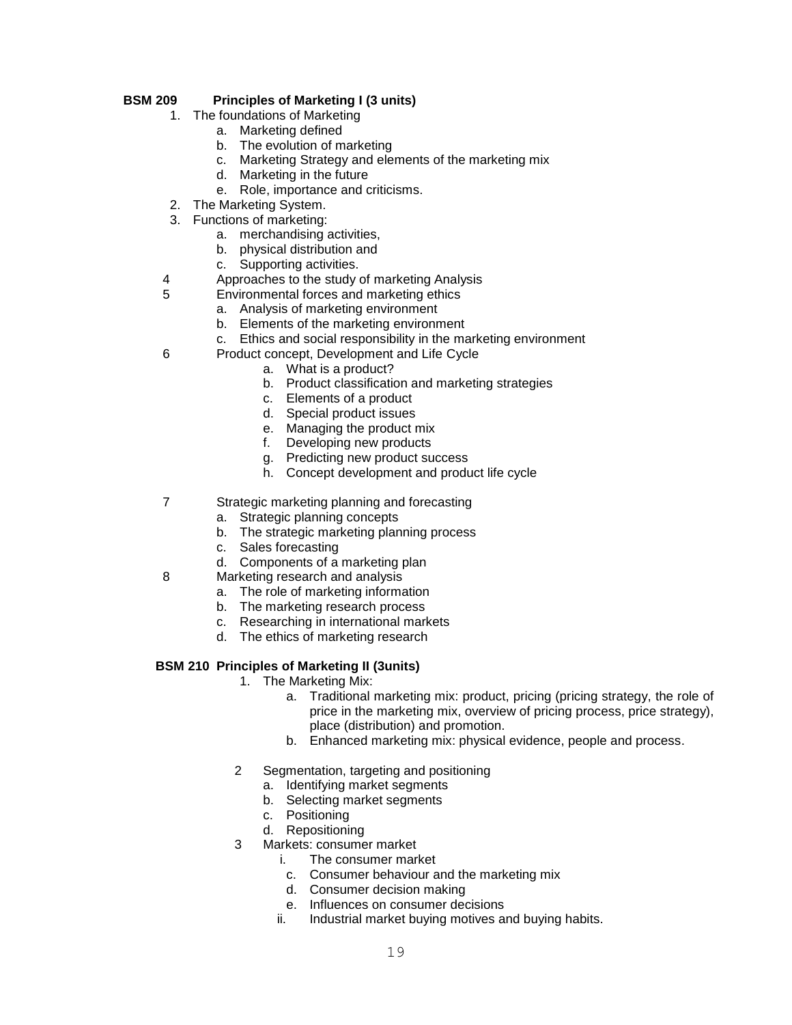# **BSM 209 Principles of Marketing I (3 units)**

- 1. The foundations of Marketing
	- a. Marketing defined
	- b. The evolution of marketing
	- c. Marketing Strategy and elements of the marketing mix
	- d. Marketing in the future
	- e. Role, importance and criticisms.
- 2. The Marketing System.
- 3. Functions of marketing:
	- a. merchandising activities,
	- b. physical distribution and
	- c. Supporting activities.
- 4 Approaches to the study of marketing Analysis
- 5 Environmental forces and marketing ethics
	- a. Analysis of marketing environment
	- b. Elements of the marketing environment
	- c. Ethics and social responsibility in the marketing environment
- 6 Product concept, Development and Life Cycle
	- a. What is a product?
	- b. Product classification and marketing strategies
	- c. Elements of a product
	- d. Special product issues
	- e. Managing the product mix
	- f. Developing new products
	- g. Predicting new product success
	- h. Concept development and product life cycle
- 7 Strategic marketing planning and forecasting
	- a. Strategic planning concepts
	- b. The strategic marketing planning process
	- c. Sales forecasting
	- d. Components of a marketing plan
- 8 Marketing research and analysis
	- a. The role of marketing information
	- b. The marketing research process
	- c. Researching in international markets
	- d. The ethics of marketing research

# **BSM 210 Principles of Marketing II (3units)**

- 1. The Marketing Mix:
	- a. Traditional marketing mix: product, pricing (pricing strategy, the role of price in the marketing mix, overview of pricing process, price strategy), place (distribution) and promotion.
	- b. Enhanced marketing mix: physical evidence, people and process.
- 2 Segmentation, targeting and positioning
	- a. Identifying market segments
	- b. Selecting market segments
	- c. Positioning
	- d. Repositioning
- 3 Markets: consumer market
	- i. The consumer market
	- c. Consumer behaviour and the marketing mix
	- d. Consumer decision making
	- e. Influences on consumer decisions
	- ii. Industrial market buying motives and buying habits.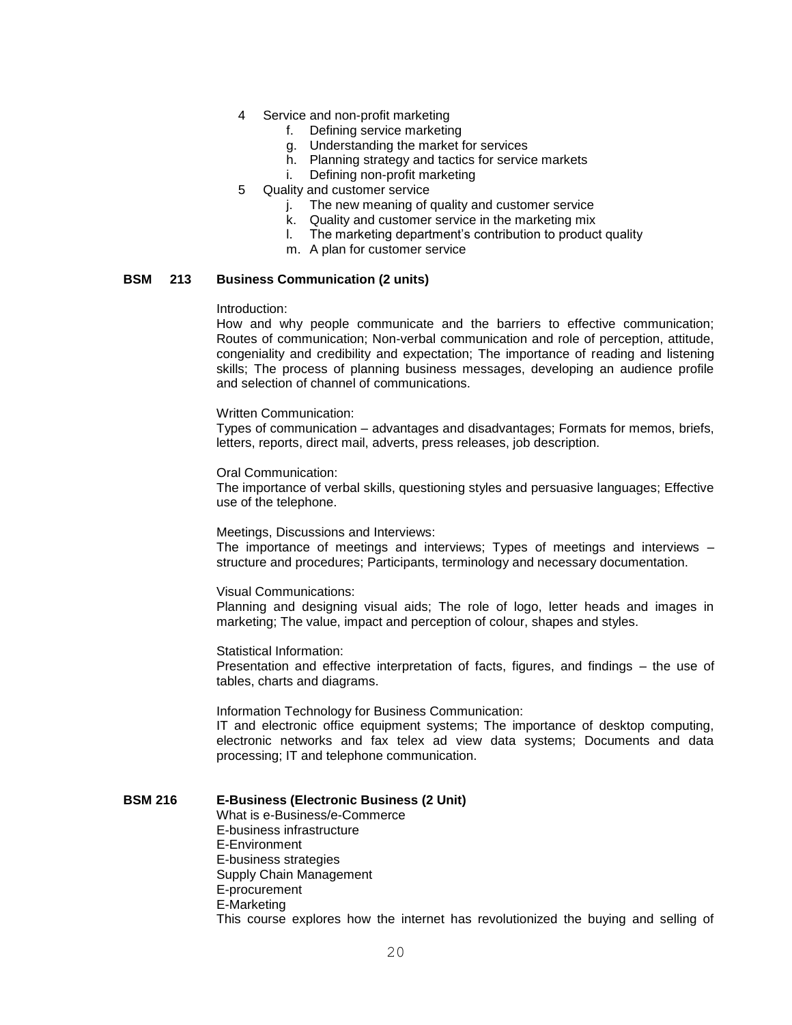- 4 Service and non-profit marketing
	- f. Defining service marketing
	- g. Understanding the market for services
	- h. Planning strategy and tactics for service markets
	- i. Defining non-profit marketing
- 5 Quality and customer service
	- j. The new meaning of quality and customer service
	- k. Quality and customer service in the marketing mix
	- l. The marketing department's contribution to product quality
	- m. A plan for customer service

#### **BSM 213 Business Communication (2 units)**

Introduction:

How and why people communicate and the barriers to effective communication; Routes of communication; Non-verbal communication and role of perception, attitude, congeniality and credibility and expectation; The importance of reading and listening skills; The process of planning business messages, developing an audience profile and selection of channel of communications.

Written Communication:

Types of communication – advantages and disadvantages; Formats for memos, briefs, letters, reports, direct mail, adverts, press releases, job description.

#### Oral Communication:

The importance of verbal skills, questioning styles and persuasive languages; Effective use of the telephone.

#### Meetings, Discussions and Interviews:

The importance of meetings and interviews; Types of meetings and interviews – structure and procedures; Participants, terminology and necessary documentation.

#### Visual Communications:

Planning and designing visual aids; The role of logo, letter heads and images in marketing; The value, impact and perception of colour, shapes and styles.

Statistical Information:

Presentation and effective interpretation of facts, figures, and findings – the use of tables, charts and diagrams.

Information Technology for Business Communication:

IT and electronic office equipment systems; The importance of desktop computing, electronic networks and fax telex ad view data systems; Documents and data processing; IT and telephone communication.

#### **BSM 216 E-Business (Electronic Business (2 Unit)**

What is e-Business/e-Commerce E-business infrastructure E-Environment E-business strategies Supply Chain Management E-procurement E-Marketing This course explores how the internet has revolutionized the buying and selling of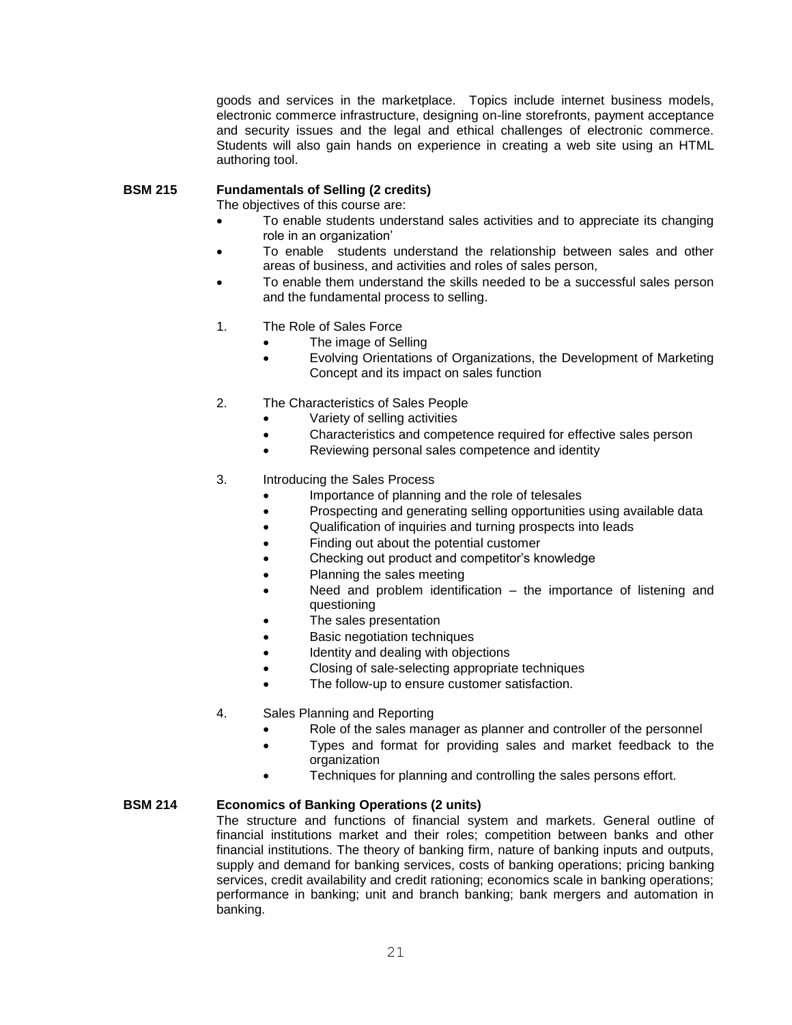goods and services in the marketplace. Topics include internet business models, electronic commerce infrastructure, designing on-line storefronts, payment acceptance and security issues and the legal and ethical challenges of electronic commerce. Students will also gain hands on experience in creating a web site using an HTML authoring tool.

# **BSM 215 Fundamentals of Selling (2 credits)**

The objectives of this course are:

- To enable students understand sales activities and to appreciate its changing role in an organization'
- To enable students understand the relationship between sales and other areas of business, and activities and roles of sales person,
- To enable them understand the skills needed to be a successful sales person and the fundamental process to selling.
- 1. The Role of Sales Force
	- The image of Selling
	- Evolving Orientations of Organizations, the Development of Marketing Concept and its impact on sales function
- 2. The Characteristics of Sales People
	- Variety of selling activities
	- Characteristics and competence required for effective sales person
	- Reviewing personal sales competence and identity
- 3. Introducing the Sales Process
	- Importance of planning and the role of telesales
	- Prospecting and generating selling opportunities using available data
	- Qualification of inquiries and turning prospects into leads
	- Finding out about the potential customer
	- Checking out product and competitor's knowledge
	- Planning the sales meeting
	- Need and problem identification the importance of listening and questioning
		- The sales presentation
	- Basic negotiation techniques
	- Identity and dealing with objections
	- Closing of sale-selecting appropriate techniques
	- The follow-up to ensure customer satisfaction.
- 4. Sales Planning and Reporting
	- Role of the sales manager as planner and controller of the personnel
	- Types and format for providing sales and market feedback to the organization
	- **•** Techniques for planning and controlling the sales persons effort.

# **BSM 214 Economics of Banking Operations (2 units)**

The structure and functions of financial system and markets. General outline of financial institutions market and their roles; competition between banks and other financial institutions. The theory of banking firm, nature of banking inputs and outputs, supply and demand for banking services, costs of banking operations; pricing banking services, credit availability and credit rationing; economics scale in banking operations; performance in banking; unit and branch banking; bank mergers and automation in banking.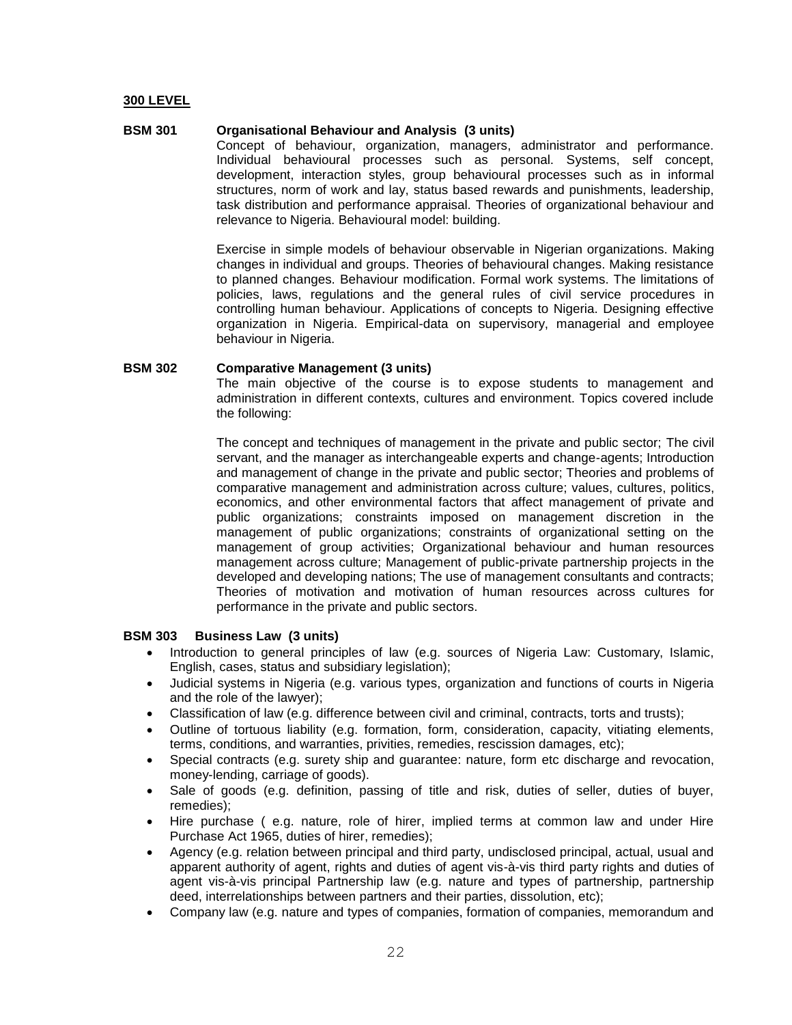## **300 LEVEL**

#### **BSM 301 Organisational Behaviour and Analysis (3 units)**

Concept of behaviour, organization, managers, administrator and performance. Individual behavioural processes such as personal. Systems, self concept, development, interaction styles, group behavioural processes such as in informal structures, norm of work and lay, status based rewards and punishments, leadership, task distribution and performance appraisal. Theories of organizational behaviour and relevance to Nigeria. Behavioural model: building.

Exercise in simple models of behaviour observable in Nigerian organizations. Making changes in individual and groups. Theories of behavioural changes. Making resistance to planned changes. Behaviour modification. Formal work systems. The limitations of policies, laws, regulations and the general rules of civil service procedures in controlling human behaviour. Applications of concepts to Nigeria. Designing effective organization in Nigeria. Empirical-data on supervisory, managerial and employee behaviour in Nigeria.

#### **BSM 302 Comparative Management (3 units)**

The main objective of the course is to expose students to management and administration in different contexts, cultures and environment. Topics covered include the following:

The concept and techniques of management in the private and public sector; The civil servant, and the manager as interchangeable experts and change-agents; Introduction and management of change in the private and public sector; Theories and problems of comparative management and administration across culture; values, cultures, politics, economics, and other environmental factors that affect management of private and public organizations; constraints imposed on management discretion in the management of public organizations; constraints of organizational setting on the management of group activities; Organizational behaviour and human resources management across culture; Management of public-private partnership projects in the developed and developing nations; The use of management consultants and contracts; Theories of motivation and motivation of human resources across cultures for performance in the private and public sectors.

#### **BSM 303 Business Law (3 units)**

- Introduction to general principles of law (e.g. sources of Nigeria Law: Customary, Islamic, English, cases, status and subsidiary legislation);
- Judicial systems in Nigeria (e.g. various types, organization and functions of courts in Nigeria and the role of the lawyer);
- Classification of law (e.g. difference between civil and criminal, contracts, torts and trusts);
- Outline of tortuous liability (e.g. formation, form, consideration, capacity, vitiating elements, terms, conditions, and warranties, privities, remedies, rescission damages, etc);
- Special contracts (e.g. surety ship and guarantee: nature, form etc discharge and revocation, money-lending, carriage of goods).
- Sale of goods (e.g. definition, passing of title and risk, duties of seller, duties of buyer, remedies);
- Hire purchase ( e.g. nature, role of hirer, implied terms at common law and under Hire Purchase Act 1965, duties of hirer, remedies);
- Agency (e.g. relation between principal and third party, undisclosed principal, actual, usual and apparent authority of agent, rights and duties of agent vis-à-vis third party rights and duties of agent vis-à-vis principal Partnership law (e.g. nature and types of partnership, partnership deed, interrelationships between partners and their parties, dissolution, etc);
- Company law (e.g. nature and types of companies, formation of companies, memorandum and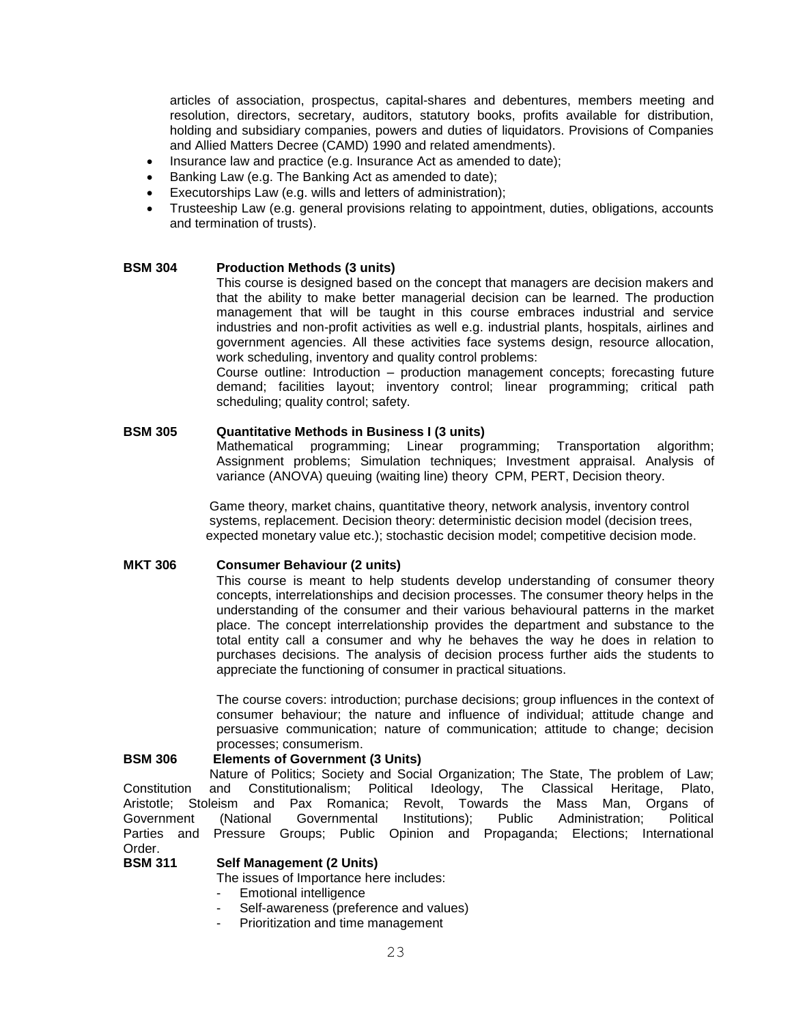articles of association, prospectus, capital-shares and debentures, members meeting and resolution, directors, secretary, auditors, statutory books, profits available for distribution, holding and subsidiary companies, powers and duties of liquidators. Provisions of Companies and Allied Matters Decree (CAMD) 1990 and related amendments).

- Insurance law and practice (e.g. Insurance Act as amended to date);
- Banking Law (e.g. The Banking Act as amended to date);
- Executorships Law (e.g. wills and letters of administration);
- Trusteeship Law (e.g. general provisions relating to appointment, duties, obligations, accounts and termination of trusts).

#### **BSM 304 Production Methods (3 units)**

This course is designed based on the concept that managers are decision makers and that the ability to make better managerial decision can be learned. The production management that will be taught in this course embraces industrial and service industries and non-profit activities as well e.g. industrial plants, hospitals, airlines and government agencies. All these activities face systems design, resource allocation, work scheduling, inventory and quality control problems:

Course outline: Introduction – production management concepts; forecasting future demand; facilities layout; inventory control; linear programming; critical path scheduling; quality control; safety.

## **BSM 305 Quantitative Methods in Business I (3 units)**

Mathematical programming; Linear programming; Transportation algorithm; Assignment problems; Simulation techniques; Investment appraisal. Analysis of variance (ANOVA) queuing (waiting line) theory CPM, PERT, Decision theory.

 Game theory, market chains, quantitative theory, network analysis, inventory control systems, replacement. Decision theory: deterministic decision model (decision trees, expected monetary value etc.); stochastic decision model; competitive decision mode.

## **MKT 306 Consumer Behaviour (2 units)**

This course is meant to help students develop understanding of consumer theory concepts, interrelationships and decision processes. The consumer theory helps in the understanding of the consumer and their various behavioural patterns in the market place. The concept interrelationship provides the department and substance to the total entity call a consumer and why he behaves the way he does in relation to purchases decisions. The analysis of decision process further aids the students to appreciate the functioning of consumer in practical situations.

The course covers: introduction; purchase decisions; group influences in the context of consumer behaviour; the nature and influence of individual; attitude change and persuasive communication; nature of communication; attitude to change; decision processes; consumerism.

#### **BSM 306 Elements of Government (3 Units)**

 Nature of Politics; Society and Social Organization; The State, The problem of Law; Constitution and Constitutionalism; Political Ideology, The Classical Heritage, Plato, Aristotle; Stoleism and Pax Romanica; Revolt, Towards the Mass Man, Organs of Government (National Governmental Institutions); Public Administration; Political Parties and Pressure Groups; Public Opinion and Propaganda; Elections; International Order.<br>**BSM 311** 

#### **Self Management (2 Units)**

The issues of Importance here includes:

- Emotional intelligence
- Self-awareness (preference and values)
- Prioritization and time management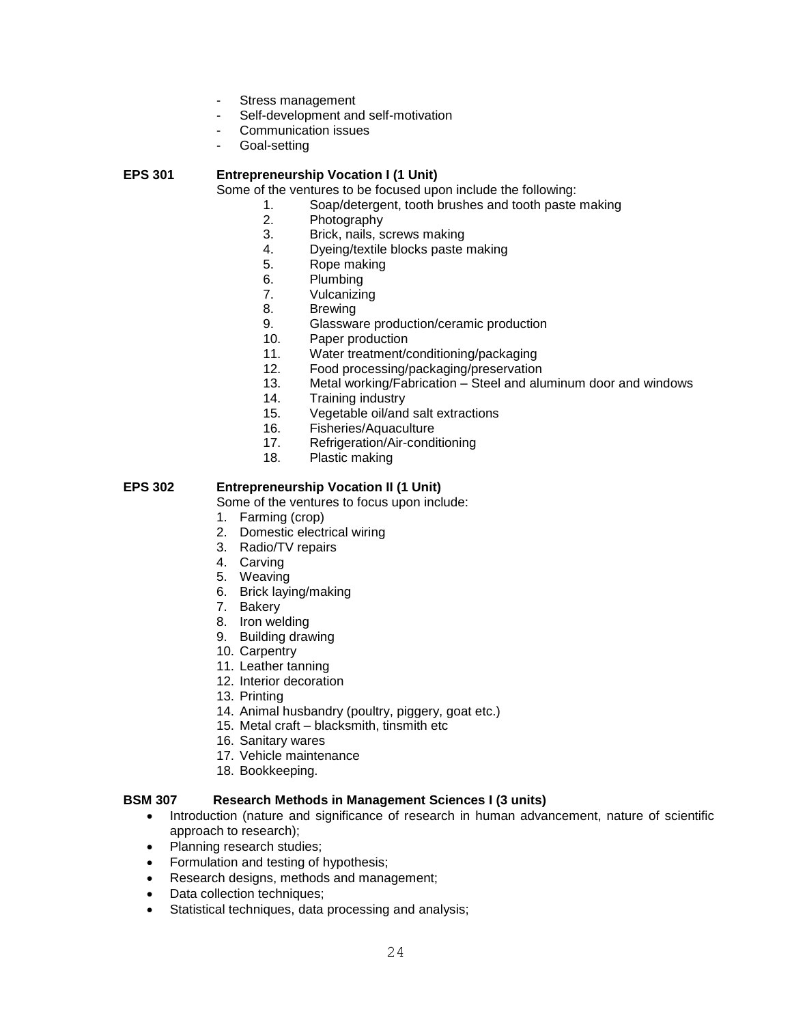- Stress management
- Self-development and self-motivation
- Communication issues
- Goal-setting

# **EPS 301 Entrepreneurship Vocation I (1 Unit)**

Some of the ventures to be focused upon include the following:

- 1. Soap/detergent, tooth brushes and tooth paste making
- 2. Photography
- 3. Brick, nails, screws making
- 4. Dyeing/textile blocks paste making
- 5. Rope making
- 6. Plumbing
- 7. Vulcanizing
- 8. Brewing
- 9. Glassware production/ceramic production
- 10. Paper production
- 11. Water treatment/conditioning/packaging
- 12. Food processing/packaging/preservation
- 13. Metal working/Fabrication Steel and aluminum door and windows
- 14. Training industry
- 15. Vegetable oil/and salt extractions
- 16. Fisheries/Aquaculture<br>17. Refrigeration/Air-condi
- Refrigeration/Air-conditioning
- 18. Plastic making

# **EPS 302 Entrepreneurship Vocation II (1 Unit)**

Some of the ventures to focus upon include:

- 1. Farming (crop)
- 2. Domestic electrical wiring
- 3. Radio/TV repairs
- 4. Carving
- 5. Weaving
- 6. Brick laying/making
- 7. Bakery
- 8. Iron welding
- 9. Building drawing
- 10. Carpentry
- 11. Leather tanning
- 12. Interior decoration
- 13. Printing
- 14. Animal husbandry (poultry, piggery, goat etc.)
- 15. Metal craft blacksmith, tinsmith etc
- 16. Sanitary wares
- 17. Vehicle maintenance
- 18. Bookkeeping.

# **BSM 307 Research Methods in Management Sciences I (3 units)**

- Introduction (nature and significance of research in human advancement, nature of scientific approach to research);
- Planning research studies;
- Formulation and testing of hypothesis;
- Research designs, methods and management;
- Data collection techniques;
- Statistical techniques, data processing and analysis;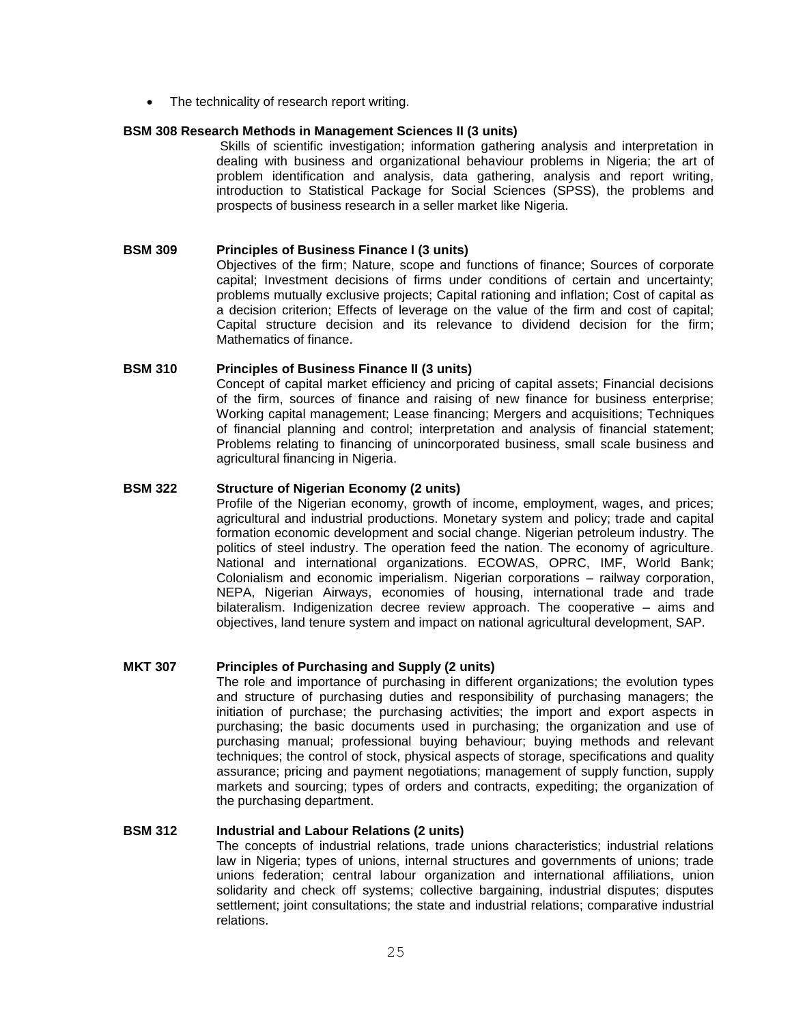• The technicality of research report writing.

#### **BSM 308 Research Methods in Management Sciences II (3 units)**

Skills of scientific investigation; information gathering analysis and interpretation in dealing with business and organizational behaviour problems in Nigeria; the art of problem identification and analysis, data gathering, analysis and report writing, introduction to Statistical Package for Social Sciences (SPSS), the problems and prospects of business research in a seller market like Nigeria.

## **BSM 309 Principles of Business Finance I (3 units)**

Objectives of the firm; Nature, scope and functions of finance; Sources of corporate capital; Investment decisions of firms under conditions of certain and uncertainty; problems mutually exclusive projects; Capital rationing and inflation; Cost of capital as a decision criterion; Effects of leverage on the value of the firm and cost of capital; Capital structure decision and its relevance to dividend decision for the firm; Mathematics of finance.

#### **BSM 310 Principles of Business Finance II (3 units)**

Concept of capital market efficiency and pricing of capital assets; Financial decisions of the firm, sources of finance and raising of new finance for business enterprise; Working capital management; Lease financing; Mergers and acquisitions; Techniques of financial planning and control; interpretation and analysis of financial statement; Problems relating to financing of unincorporated business, small scale business and agricultural financing in Nigeria.

#### **BSM 322 Structure of Nigerian Economy (2 units)**

Profile of the Nigerian economy, growth of income, employment, wages, and prices; agricultural and industrial productions. Monetary system and policy; trade and capital formation economic development and social change. Nigerian petroleum industry. The politics of steel industry. The operation feed the nation. The economy of agriculture. National and international organizations. ECOWAS, OPRC, IMF, World Bank; Colonialism and economic imperialism. Nigerian corporations – railway corporation, NEPA, Nigerian Airways, economies of housing, international trade and trade bilateralism. Indigenization decree review approach. The cooperative – aims and objectives, land tenure system and impact on national agricultural development, SAP.

# **MKT 307 Principles of Purchasing and Supply (2 units)**

The role and importance of purchasing in different organizations; the evolution types and structure of purchasing duties and responsibility of purchasing managers; the initiation of purchase; the purchasing activities; the import and export aspects in purchasing; the basic documents used in purchasing; the organization and use of purchasing manual; professional buying behaviour; buying methods and relevant techniques; the control of stock, physical aspects of storage, specifications and quality assurance; pricing and payment negotiations; management of supply function, supply markets and sourcing; types of orders and contracts, expediting; the organization of the purchasing department.

## **BSM 312 Industrial and Labour Relations (2 units)**

The concepts of industrial relations, trade unions characteristics; industrial relations law in Nigeria; types of unions, internal structures and governments of unions; trade unions federation; central labour organization and international affiliations, union solidarity and check off systems; collective bargaining, industrial disputes; disputes settlement; joint consultations; the state and industrial relations; comparative industrial relations.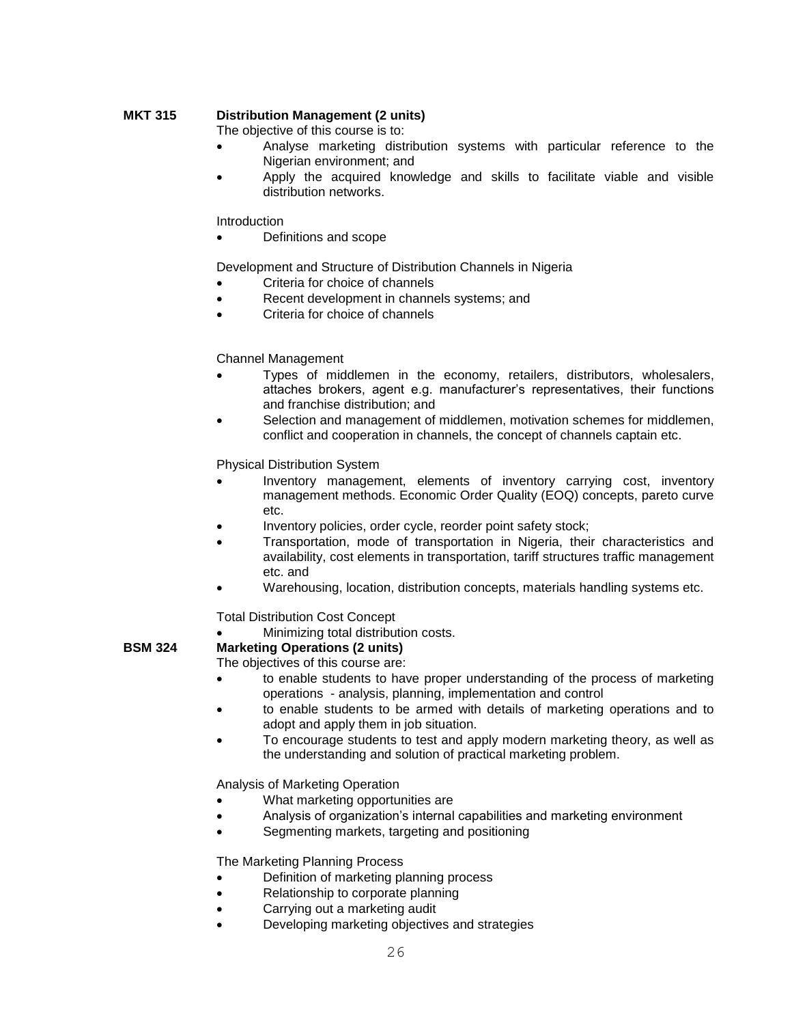# **MKT 315 Distribution Management (2 units)**

The objective of this course is to:

- Analyse marketing distribution systems with particular reference to the Nigerian environment; and
- Apply the acquired knowledge and skills to facilitate viable and visible distribution networks.

Introduction

Definitions and scope

Development and Structure of Distribution Channels in Nigeria

- Criteria for choice of channels
- Recent development in channels systems; and
- Criteria for choice of channels

## Channel Management

- Types of middlemen in the economy, retailers, distributors, wholesalers, attaches brokers, agent e.g. manufacturer's representatives, their functions and franchise distribution; and
- Selection and management of middlemen, motivation schemes for middlemen, conflict and cooperation in channels, the concept of channels captain etc.

Physical Distribution System

- Inventory management, elements of inventory carrying cost, inventory management methods. Economic Order Quality (EOQ) concepts, pareto curve etc.
- Inventory policies, order cycle, reorder point safety stock;
- Transportation, mode of transportation in Nigeria, their characteristics and availability, cost elements in transportation, tariff structures traffic management etc. and
- Warehousing, location, distribution concepts, materials handling systems etc.

Total Distribution Cost Concept

Minimizing total distribution costs.

# **BSM 324 Marketing Operations (2 units)**

The objectives of this course are:

- to enable students to have proper understanding of the process of marketing operations - analysis, planning, implementation and control
- to enable students to be armed with details of marketing operations and to adopt and apply them in job situation.
- To encourage students to test and apply modern marketing theory, as well as the understanding and solution of practical marketing problem.

Analysis of Marketing Operation

- What marketing opportunities are
- Analysis of organization's internal capabilities and marketing environment
- Segmenting markets, targeting and positioning

The Marketing Planning Process

- Definition of marketing planning process
- Relationship to corporate planning
- Carrying out a marketing audit
- Developing marketing objectives and strategies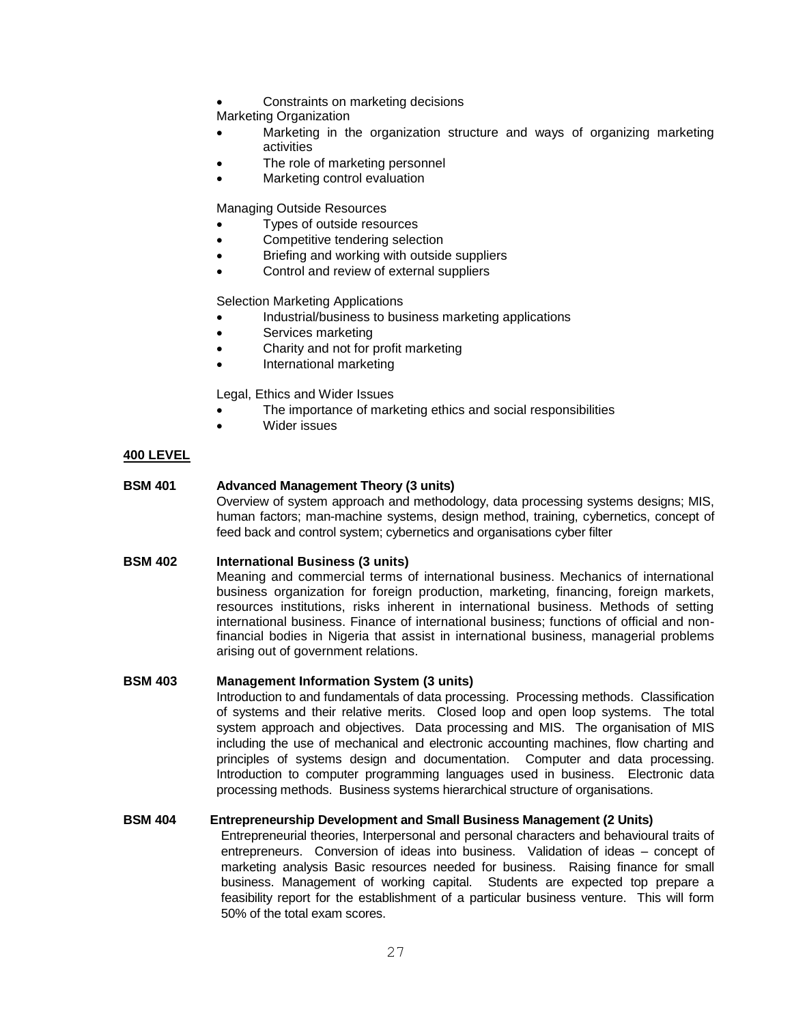Constraints on marketing decisions

Marketing Organization

- Marketing in the organization structure and ways of organizing marketing activities
- The role of marketing personnel
- Marketing control evaluation

Managing Outside Resources

- Types of outside resources
- Competitive tendering selection
- Briefing and working with outside suppliers
- Control and review of external suppliers

Selection Marketing Applications

- Industrial/business to business marketing applications
- Services marketing
- Charity and not for profit marketing
- International marketing

Legal, Ethics and Wider Issues

- The importance of marketing ethics and social responsibilities
- Wider issues

# **400 LEVEL**

# **BSM 401 Advanced Management Theory (3 units)**

Overview of system approach and methodology, data processing systems designs; MIS, human factors; man-machine systems, design method, training, cybernetics, concept of feed back and control system; cybernetics and organisations cyber filter

# **BSM 402 International Business (3 units)**

Meaning and commercial terms of international business. Mechanics of international business organization for foreign production, marketing, financing, foreign markets, resources institutions, risks inherent in international business. Methods of setting international business. Finance of international business; functions of official and nonfinancial bodies in Nigeria that assist in international business, managerial problems arising out of government relations.

## **BSM 403 Management Information System (3 units)**

Introduction to and fundamentals of data processing. Processing methods. Classification of systems and their relative merits. Closed loop and open loop systems. The total system approach and objectives. Data processing and MIS. The organisation of MIS including the use of mechanical and electronic accounting machines, flow charting and principles of systems design and documentation. Computer and data processing. Introduction to computer programming languages used in business. Electronic data processing methods. Business systems hierarchical structure of organisations.

## **BSM 404 Entrepreneurship Development and Small Business Management (2 Units)**

Entrepreneurial theories, Interpersonal and personal characters and behavioural traits of entrepreneurs. Conversion of ideas into business. Validation of ideas – concept of marketing analysis Basic resources needed for business. Raising finance for small business. Management of working capital. Students are expected top prepare a feasibility report for the establishment of a particular business venture. This will form 50% of the total exam scores.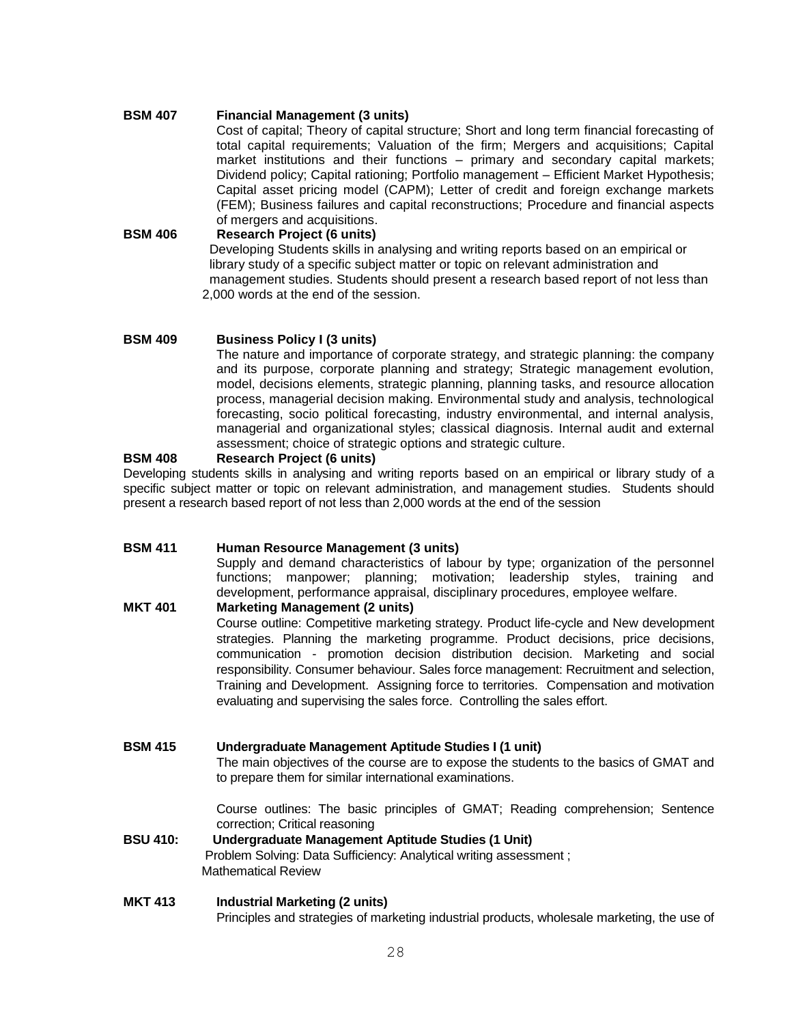#### **BSM 407 Financial Management (3 units)**

Cost of capital; Theory of capital structure; Short and long term financial forecasting of total capital requirements; Valuation of the firm; Mergers and acquisitions; Capital market institutions and their functions – primary and secondary capital markets; Dividend policy; Capital rationing; Portfolio management – Efficient Market Hypothesis; Capital asset pricing model (CAPM); Letter of credit and foreign exchange markets (FEM); Business failures and capital reconstructions; Procedure and financial aspects of mergers and acquisitions.

**BSM 406 Research Project (6 units)** Developing Students skills in analysing and writing reports based on an empirical or library study of a specific subject matter or topic on relevant administration and management studies. Students should present a research based report of not less than 2,000 words at the end of the session.

#### **BSM 409 Business Policy I (3 units)**

The nature and importance of corporate strategy, and strategic planning: the company and its purpose, corporate planning and strategy; Strategic management evolution, model, decisions elements, strategic planning, planning tasks, and resource allocation process, managerial decision making. Environmental study and analysis, technological forecasting, socio political forecasting, industry environmental, and internal analysis, managerial and organizational styles; classical diagnosis. Internal audit and external assessment; choice of strategic options and strategic culture.

#### **BSM 408 Research Project (6 units)**

Developing students skills in analysing and writing reports based on an empirical or library study of a specific subject matter or topic on relevant administration, and management studies. Students should present a research based report of not less than 2,000 words at the end of the session

# **BSM 411 Human Resource Management (3 units)**

Supply and demand characteristics of labour by type; organization of the personnel functions; manpower; planning; motivation; leadership styles, training and development, performance appraisal, disciplinary procedures, employee welfare.

**MKT 401 Marketing Management (2 units)** Course outline: Competitive marketing strategy. Product life-cycle and New development strategies. Planning the marketing programme. Product decisions, price decisions, communication - promotion decision distribution decision. Marketing and social responsibility. Consumer behaviour. Sales force management: Recruitment and selection, Training and Development. Assigning force to territories. Compensation and motivation evaluating and supervising the sales force. Controlling the sales effort.

# **BSM 415 Undergraduate Management Aptitude Studies I (1 unit)**

The main objectives of the course are to expose the students to the basics of GMAT and to prepare them for similar international examinations.

Course outlines: The basic principles of GMAT; Reading comprehension; Sentence correction; Critical reasoning

**BSU 410: Undergraduate Management Aptitude Studies (1 Unit)** Problem Solving: Data Sufficiency: Analytical writing assessment ; Mathematical Review

**MKT 413 Industrial Marketing (2 units)** Principles and strategies of marketing industrial products, wholesale marketing, the use of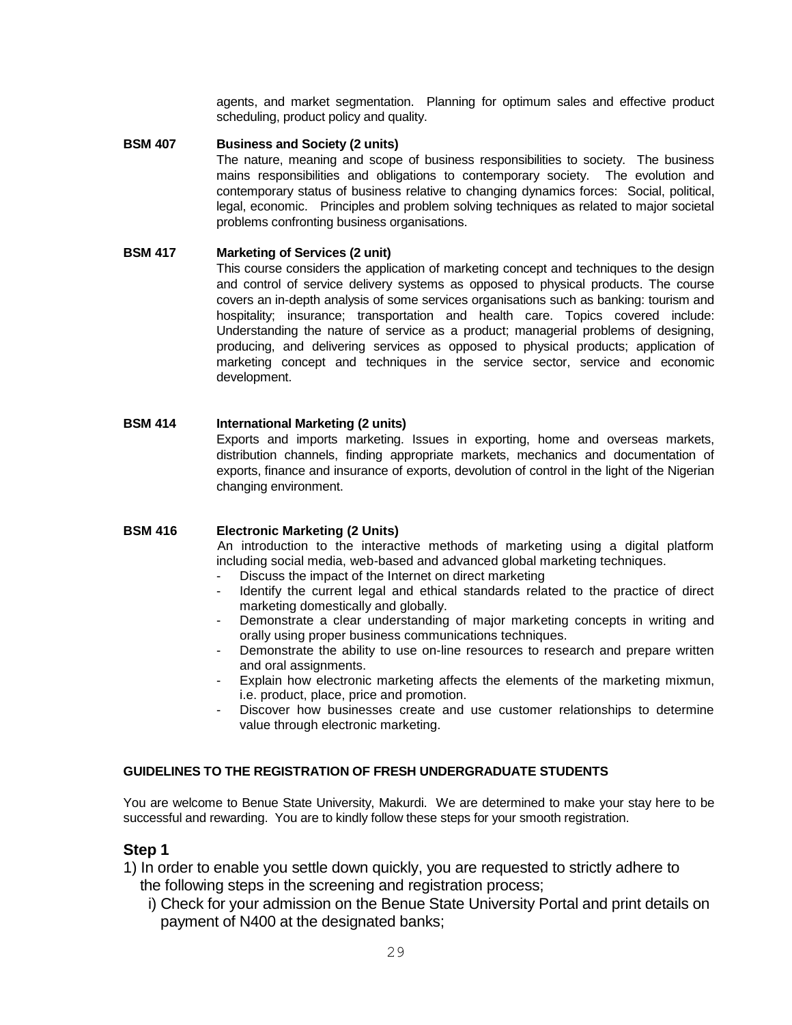agents, and market segmentation. Planning for optimum sales and effective product scheduling, product policy and quality.

**BSM 407 Business and Society (2 units)**

The nature, meaning and scope of business responsibilities to society. The business mains responsibilities and obligations to contemporary society. The evolution and contemporary status of business relative to changing dynamics forces: Social, political, legal, economic. Principles and problem solving techniques as related to major societal problems confronting business organisations.

#### **BSM 417 Marketing of Services (2 unit)**

This course considers the application of marketing concept and techniques to the design and control of service delivery systems as opposed to physical products. The course covers an in-depth analysis of some services organisations such as banking: tourism and hospitality; insurance; transportation and health care. Topics covered include: Understanding the nature of service as a product; managerial problems of designing, producing, and delivering services as opposed to physical products; application of marketing concept and techniques in the service sector, service and economic development.

#### **BSM 414 International Marketing (2 units)**

Exports and imports marketing. Issues in exporting, home and overseas markets, distribution channels, finding appropriate markets, mechanics and documentation of exports, finance and insurance of exports, devolution of control in the light of the Nigerian changing environment.

#### **BSM 416 Electronic Marketing (2 Units)**

An introduction to the interactive methods of marketing using a digital platform including social media, web-based and advanced global marketing techniques.

- Discuss the impact of the Internet on direct marketing
- Identify the current legal and ethical standards related to the practice of direct marketing domestically and globally.
- Demonstrate a clear understanding of major marketing concepts in writing and orally using proper business communications techniques.
- Demonstrate the ability to use on-line resources to research and prepare written and oral assignments.
- Explain how electronic marketing affects the elements of the marketing mixmun, i.e. product, place, price and promotion.
- Discover how businesses create and use customer relationships to determine value through electronic marketing.

# **GUIDELINES TO THE REGISTRATION OF FRESH UNDERGRADUATE STUDENTS**

You are welcome to Benue State University, Makurdi. We are determined to make your stay here to be successful and rewarding. You are to kindly follow these steps for your smooth registration.

## **Step 1**

- 1) In order to enable you settle down quickly, you are requested to strictly adhere to the following steps in the screening and registration process;
	- i) Check for your admission on the Benue State University Portal and print details on payment of N400 at the designated banks;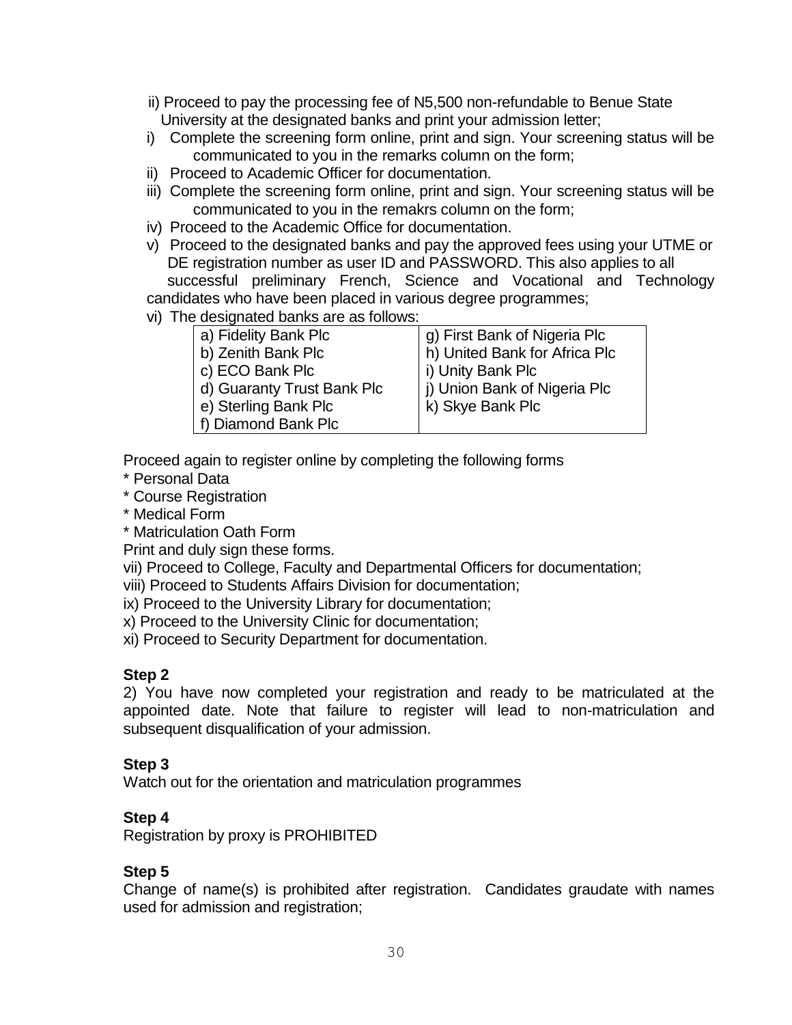- ii) Proceed to pay the processing fee of N5,500 non-refundable to Benue State University at the designated banks and print your admission letter;
- i) Complete the screening form online, print and sign. Your screening status will be communicated to you in the remarks column on the form;
- ii) Proceed to Academic Officer for documentation.
- iii) Complete the screening form online, print and sign. Your screening status will be communicated to you in the remakrs column on the form;
- iv) Proceed to the Academic Office for documentation.
- v) Proceed to the designated banks and pay the approved fees using your UTME or DE registration number as user ID and PASSWORD. This also applies to all successful preliminary French, Science and Vocational and Technology candidates who have been placed in various degree programmes;
- vi) The designated banks are as follows:

| 0 accignatoa sarmo are ao ionomo. |                               |  |  |  |  |  |  |
|-----------------------------------|-------------------------------|--|--|--|--|--|--|
| a) Fidelity Bank Plc              | g) First Bank of Nigeria Plc  |  |  |  |  |  |  |
| b) Zenith Bank Plc                | h) United Bank for Africa Plc |  |  |  |  |  |  |
| c) ECO Bank Plc                   | i) Unity Bank Plc             |  |  |  |  |  |  |
| d) Guaranty Trust Bank Plc        | j) Union Bank of Nigeria Plc  |  |  |  |  |  |  |
| e) Sterling Bank Plc              | k) Skye Bank Plc              |  |  |  |  |  |  |
| f) Diamond Bank Plc               |                               |  |  |  |  |  |  |

Proceed again to register online by completing the following forms

- \* Personal Data
- \* Course Registration
- \* Medical Form
- \* Matriculation Oath Form
- Print and duly sign these forms.
- vii) Proceed to College, Faculty and Departmental Officers for documentation;
- viii) Proceed to Students Affairs Division for documentation;
- ix) Proceed to the University Library for documentation;
- x) Proceed to the University Clinic for documentation;
- xi) Proceed to Security Department for documentation.

# **Step 2**

2) You have now completed your registration and ready to be matriculated at the appointed date. Note that failure to register will lead to non-matriculation and subsequent disqualification of your admission.

# **Step 3**

Watch out for the orientation and matriculation programmes

# **Step 4**

Registration by proxy is PROHIBITED

# **Step 5**

Change of name(s) is prohibited after registration. Candidates graudate with names used for admission and registration;